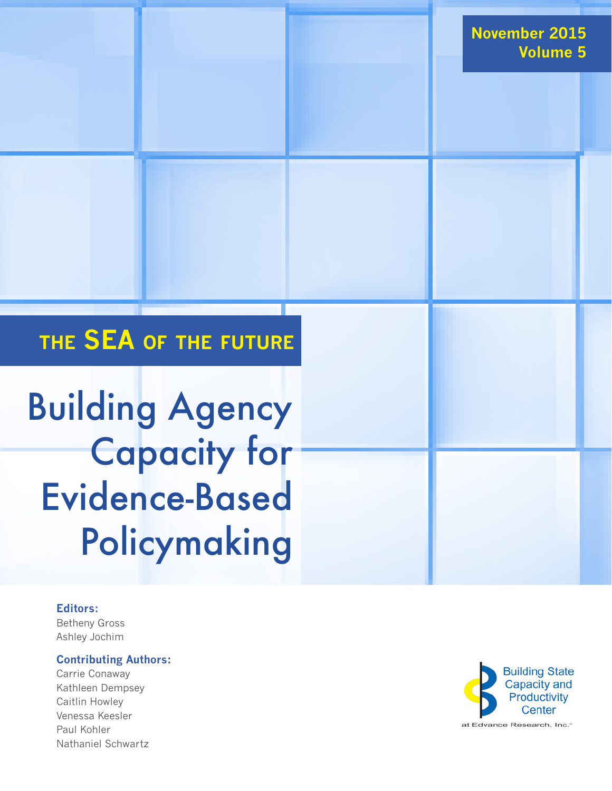## **the SEA of the future**

Building Agency Capacity for Evidence-Based Policymaking

#### **Editors:**

Betheny Gross Ashley Jochim

#### **Contributing Authors:**

Carrie Conaway Kathleen Dempsey Caitlin Howley Venessa Keesler Paul Kohler Nathaniel Schwartz

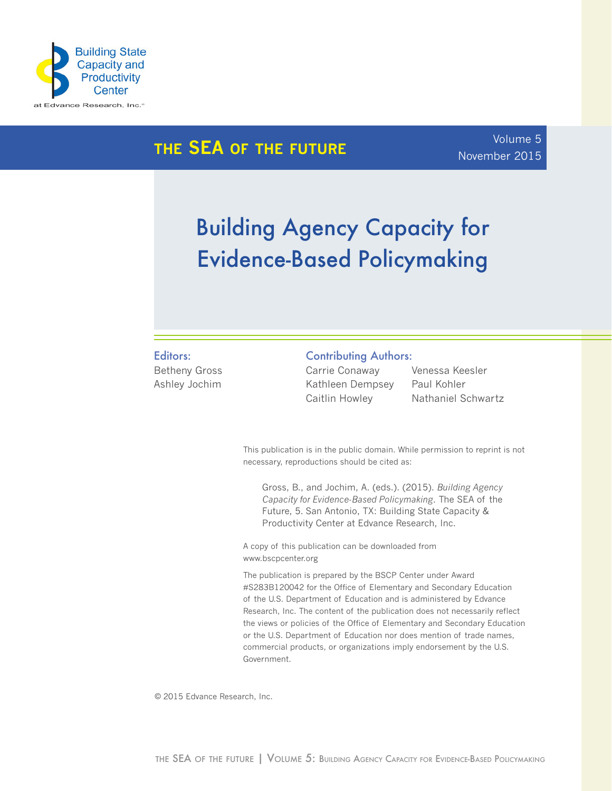

## **the SEA of the future**

### Volume 5 November 2015

## Building Agency Capacity for Evidence-Based Policymaking

#### Editors:

Betheny Gross Ashley Jochim

#### Contributing Authors:

Carrie Conaway Kathleen Dempsey Caitlin Howley

Venessa Keesler Paul Kohler Nathaniel Schwartz

This publication is in the public domain. While permission to reprint is not necessary, reproductions should be cited as:

Gross, B., and Jochim, A. (eds.). (2015). *Building Agency Capacity for Evidence-Based Policymaking*. The SEA of the Future, 5. San Antonio, TX: Building State Capacity & Productivity Center at Edvance Research, Inc.

A copy of this publication can be downloaded from www.bscpcenter.org

The publication is prepared by the BSCP Center under Award #S283B120042 for the Office of Elementary and Secondary Education of the U.S. Department of Education and is administered by Edvance Research, Inc. The content of the publication does not necessarily reflect the views or policies of the Office of Elementary and Secondary Education or the U.S. Department of Education nor does mention of trade names, commercial products, or organizations imply endorsement by the U.S. Government.

© 2015 Edvance Research, Inc.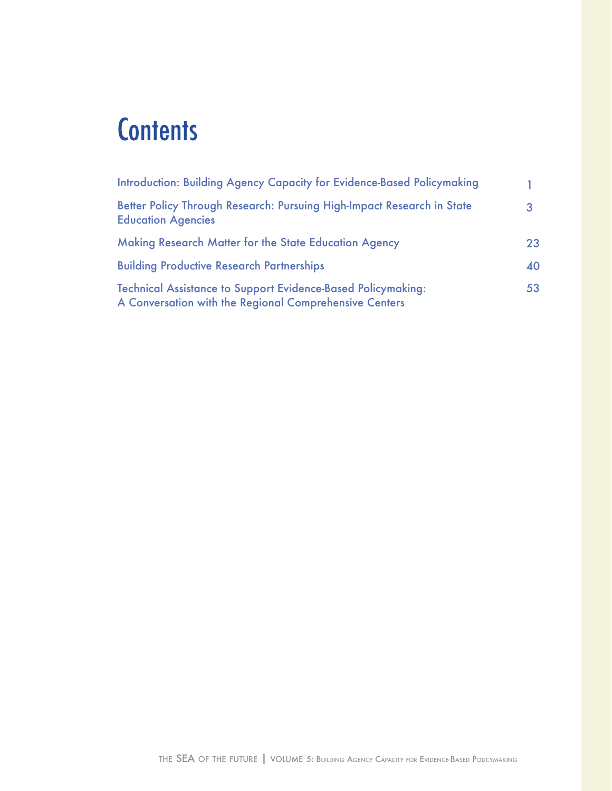## **Contents**

| <b>Introduction: Building Agency Capacity for Evidence-Based Policymaking</b>                                                 |    |
|-------------------------------------------------------------------------------------------------------------------------------|----|
| Better Policy Through Research: Pursuing High-Impact Research in State<br><b>Education Agencies</b>                           |    |
| Making Research Matter for the State Education Agency                                                                         | 23 |
| <b>Building Productive Research Partnerships</b>                                                                              | 40 |
| <b>Technical Assistance to Support Evidence-Based Policymaking:</b><br>A Conversation with the Regional Comprehensive Centers | 53 |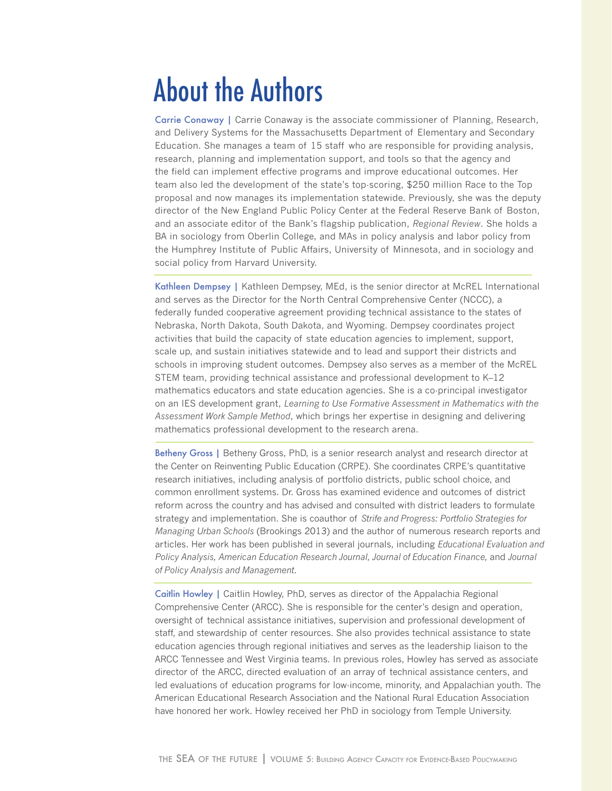## About the Authors

Carrie Conaway | Carrie Conaway is the associate commissioner of Planning, Research, and Delivery Systems for the Massachusetts Department of Elementary and Secondary Education. She manages a team of 15 staff who are responsible for providing analysis, research, planning and implementation support, and tools so that the agency and the field can implement effective programs and improve educational outcomes. Her team also led the development of the state's top-scoring, \$250 million Race to the Top proposal and now manages its implementation statewide. Previously, she was the deputy director of the New England Public Policy Center at the Federal Reserve Bank of Boston, and an associate editor of the Bank's flagship publication, *Regional Review*. She holds a BA in sociology from Oberlin College, and MAs in policy analysis and labor policy from the Humphrey Institute of Public Affairs, University of Minnesota, and in sociology and social policy from Harvard University.

Kathleen Dempsey | Kathleen Dempsey, MEd, is the senior director at McREL International and serves as the Director for the North Central Comprehensive Center (NCCC), a federally funded cooperative agreement providing technical assistance to the states of Nebraska, North Dakota, South Dakota, and Wyoming. Dempsey coordinates project activities that build the capacity of state education agencies to implement, support, scale up, and sustain initiatives statewide and to lead and support their districts and schools in improving student outcomes. Dempsey also serves as a member of the McREL STEM team, providing technical assistance and professional development to K–12 mathematics educators and state education agencies. She is a co-principal investigator on an IES development grant, *Learning to Use Formative Assessment in Mathematics with the Assessment Work Sample Method*, which brings her expertise in designing and delivering mathematics professional development to the research arena.

Betheny Gross | Betheny Gross, PhD, is a senior research analyst and research director at the Center on Reinventing Public Education (CRPE). She coordinates CRPE's quantitative research initiatives, including analysis of portfolio districts, public school choice, and common enrollment systems. Dr. Gross has examined evidence and outcomes of district reform across the country and has advised and consulted with district leaders to formulate strategy and implementation. She is coauthor of *Strife and Progress: Portfolio Strategies for Managing Urban Schools* (Brookings 2013) and the author of numerous research reports and articles. Her work has been published in several journals, including *Educational Evaluation and Policy Analysis, American Education Research Journal, Journal of Education Finance,* and *Journal of Policy Analysis and Management.*

Caitlin Howley | Caitlin Howley, PhD, serves as director of the Appalachia Regional Comprehensive Center (ARCC). She is responsible for the center's design and operation, oversight of technical assistance initiatives, supervision and professional development of staff, and stewardship of center resources. She also provides technical assistance to state education agencies through regional initiatives and serves as the leadership liaison to the ARCC Tennessee and West Virginia teams. In previous roles, Howley has served as associate director of the ARCC, directed evaluation of an array of technical assistance centers, and led evaluations of education programs for low-income, minority, and Appalachian youth. The American Educational Research Association and the National Rural Education Association have honored her work. Howley received her PhD in sociology from Temple University.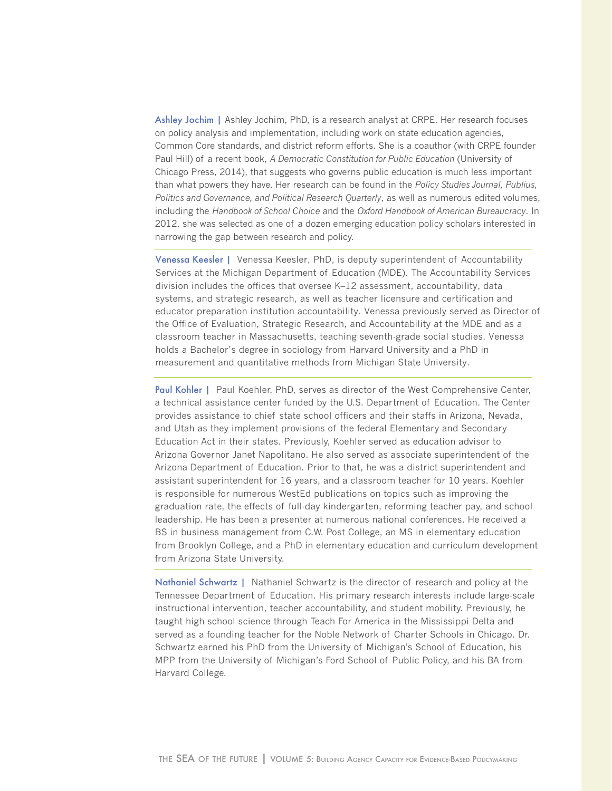Ashley Jochim | Ashley Jochim, PhD, is a research analyst at CRPE. Her research focuses on policy analysis and implementation, including work on state education agencies, Common Core standards, and district reform efforts. She is a coauthor (with CRPE founder Paul Hill) of a recent book, *A Democratic Constitution for Public Education* (University of Chicago Press, 2014), that suggests who governs public education is much less important than what powers they have. Her research can be found in the *Policy Studies Journal, Publius, Politics and Governance, and Political Research Quarterly*, as well as numerous edited volumes, including the *Handbook of School Choice* and the *Oxford Handbook of American Bureaucracy*. In 2012, she was selected as one of a dozen emerging education policy scholars interested in narrowing the gap between research and policy.

Venessa Keesler | Venessa Keesler, PhD, is deputy superintendent of Accountability Services at the Michigan Department of Education (MDE). The Accountability Services division includes the offices that oversee K–12 assessment, accountability, data systems, and strategic research, as well as teacher licensure and certification and educator preparation institution accountability. Venessa previously served as Director of the Office of Evaluation, Strategic Research, and Accountability at the MDE and as a classroom teacher in Massachusetts, teaching seventh-grade social studies. Venessa holds a Bachelor's degree in sociology from Harvard University and a PhD in measurement and quantitative methods from Michigan State University.

Paul Kohler | Paul Koehler, PhD, serves as director of the West Comprehensive Center, a technical assistance center funded by the U.S. Department of Education. The Center provides assistance to chief state school officers and their staffs in Arizona, Nevada, and Utah as they implement provisions of the federal Elementary and Secondary Education Act in their states. Previously, Koehler served as education advisor to Arizona Governor Janet Napolitano. He also served as associate superintendent of the Arizona Department of Education. Prior to that, he was a district superintendent and assistant superintendent for 16 years, and a classroom teacher for 10 years. Koehler is responsible for numerous WestEd publications on topics such as improving the graduation rate, the effects of full-day kindergarten, reforming teacher pay, and school leadership. He has been a presenter at numerous national conferences. He received a BS in business management from C.W. Post College, an MS in elementary education from Brooklyn College, and a PhD in elementary education and curriculum development from Arizona State University.

Nathaniel Schwartz | Nathaniel Schwartz is the director of research and policy at the Tennessee Department of Education. His primary research interests include large-scale instructional intervention, teacher accountability, and student mobility. Previously, he taught high school science through Teach For America in the Mississippi Delta and served as a founding teacher for the Noble Network of Charter Schools in Chicago. Dr. Schwartz earned his PhD from the University of Michigan's School of Education, his MPP from the University of Michigan's Ford School of Public Policy, and his BA from Harvard College.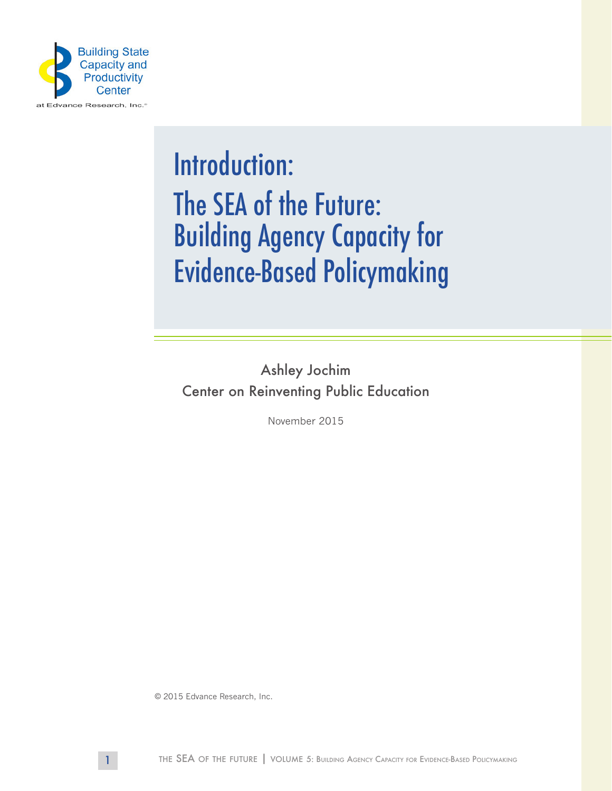

## Introduction: The SEA of the Future: Building Agency Capacity for Evidence-Based Policymaking

Ashley Jochim Center on Reinventing Public Education

November 2015

© 2015 Edvance Research, Inc.

1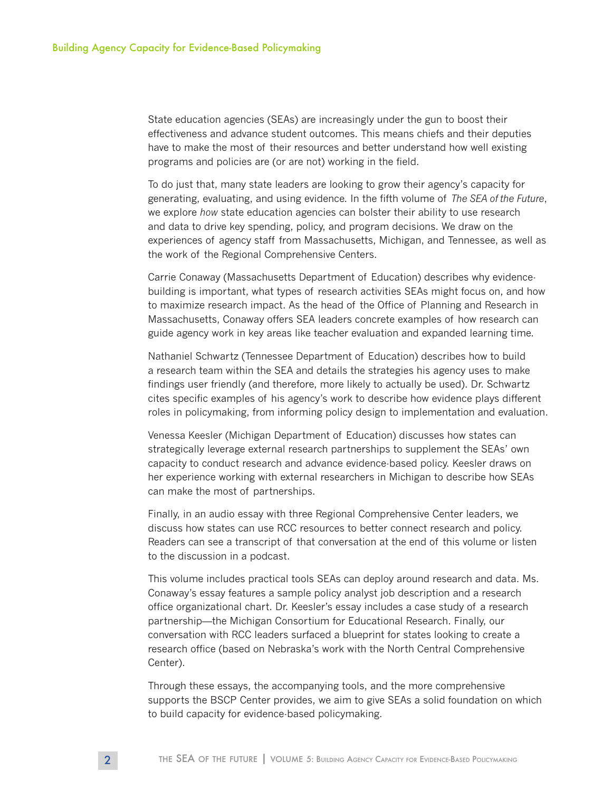State education agencies (SEAs) are increasingly under the gun to boost their effectiveness and advance student outcomes. This means chiefs and their deputies have to make the most of their resources and better understand how well existing programs and policies are (or are not) working in the field.

To do just that, many state leaders are looking to grow their agency's capacity for generating, evaluating, and using evidence. In the fifth volume of *The SEA of the Future*, we explore *how* state education agencies can bolster their ability to use research and data to drive key spending, policy, and program decisions. We draw on the experiences of agency staff from Massachusetts, Michigan, and Tennessee, as well as the work of the Regional Comprehensive Centers.

Carrie Conaway (Massachusetts Department of Education) describes why evidencebuilding is important, what types of research activities SEAs might focus on, and how to maximize research impact. As the head of the Office of Planning and Research in Massachusetts, Conaway offers SEA leaders concrete examples of how research can guide agency work in key areas like teacher evaluation and expanded learning time.

Nathaniel Schwartz (Tennessee Department of Education) describes how to build a research team within the SEA and details the strategies his agency uses to make findings user friendly (and therefore, more likely to actually be used). Dr. Schwartz cites specific examples of his agency's work to describe how evidence plays different roles in policymaking, from informing policy design to implementation and evaluation.

Venessa Keesler (Michigan Department of Education) discusses how states can strategically leverage external research partnerships to supplement the SEAs' own capacity to conduct research and advance evidence-based policy. Keesler draws on her experience working with external researchers in Michigan to describe how SEAs can make the most of partnerships.

Finally, in an audio essay with three Regional Comprehensive Center leaders, we discuss how states can use RCC resources to better connect research and policy. Readers can see a transcript of that conversation at the end of this volume or listen to the discussion in a podcast.

This volume includes practical tools SEAs can deploy around research and data. Ms. Conaway's essay features a sample policy analyst job description and a research office organizational chart. Dr. Keesler's essay includes a case study of a research partnership—the Michigan Consortium for Educational Research. Finally, our conversation with RCC leaders surfaced a blueprint for states looking to create a research office (based on Nebraska's work with the North Central Comprehensive Center).

Through these essays, the accompanying tools, and the more comprehensive supports the BSCP Center provides, we aim to give SEAs a solid foundation on which to build capacity for evidence-based policymaking.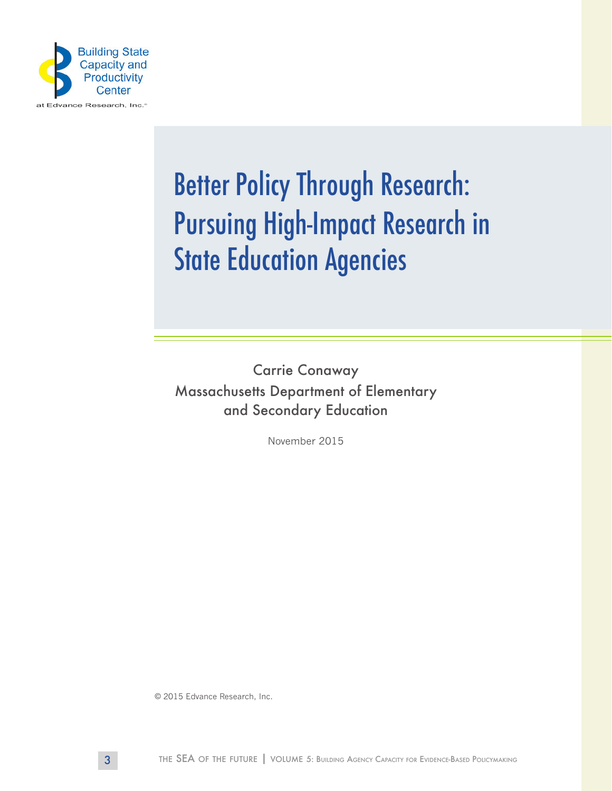

# Better Policy Through Research: Pursuing High-Impact Research in **State Education Agencies**

Carrie Conaway Massachusetts Department of Elementary and Secondary Education

November 2015

© 2015 Edvance Research, Inc.

3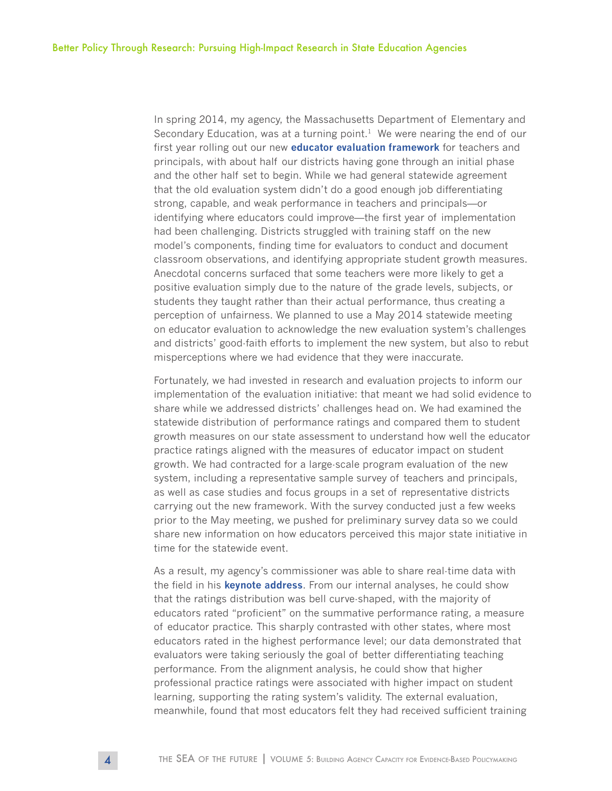In spring 2014, my agency, the Massachusetts Department of Elementary and Secondary Education, was at a turning point.<sup>1</sup> We were nearing the end of our first year rolling out our new **[educator evaluation framework](http://www.doe.mass.edu/edeval/)** for teachers and principals, with about half our districts having gone through an initial phase and the other half set to begin. While we had general statewide agreement that the old evaluation system didn't do a good enough job differentiating strong, capable, and weak performance in teachers and principals—or identifying where educators could improve—the first year of implementation had been challenging. Districts struggled with training staff on the new model's components, finding time for evaluators to conduct and document classroom observations, and identifying appropriate student growth measures. Anecdotal concerns surfaced that some teachers were more likely to get a positive evaluation simply due to the nature of the grade levels, subjects, or students they taught rather than their actual performance, thus creating a perception of unfairness. We planned to use a May 2014 statewide meeting on educator evaluation to acknowledge the new evaluation system's challenges and districts' good-faith efforts to implement the new system, but also to rebut misperceptions where we had evidence that they were inaccurate.

Fortunately, we had invested in research and evaluation projects to inform our implementation of the evaluation initiative: that meant we had solid evidence to share while we addressed districts' challenges head on. We had examined the statewide distribution of performance ratings and compared them to student growth measures on our state assessment to understand how well the educator practice ratings aligned with the measures of educator impact on student growth. We had contracted for a large-scale program evaluation of the new system, including a representative sample survey of teachers and principals, as well as case studies and focus groups in a set of representative districts carrying out the new framework. With the survey conducted just a few weeks prior to the May meeting, we pushed for preliminary survey data so we could share new information on how educators perceived this major state initiative in time for the statewide event.

As a result, my agency's commissioner was able to share real-time data with the field in his **[keynote address](http://www.doe.mass.edu/edeval/communications/convening/2014/CommissionerSlides.pdf)**. From our internal analyses, he could show that the ratings distribution was bell curve-shaped, with the majority of educators rated "proficient" on the summative performance rating, a measure of educator practice. This sharply contrasted with other states, where most educators rated in the highest performance level; our data demonstrated that evaluators were taking seriously the goal of better differentiating teaching performance. From the alignment analysis, he could show that higher professional practice ratings were associated with higher impact on student learning, supporting the rating system's validity. The external evaluation, meanwhile, found that most educators felt they had received sufficient training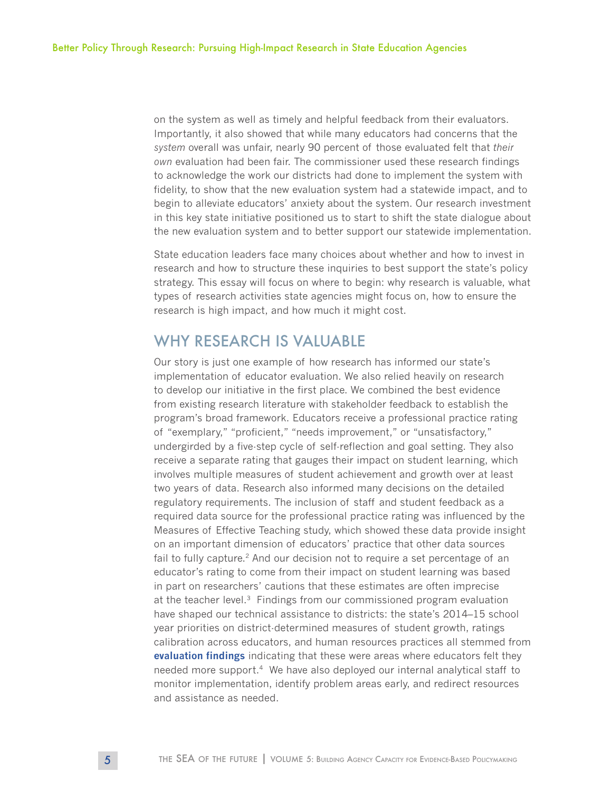on the system as well as timely and helpful feedback from their evaluators. Importantly, it also showed that while many educators had concerns that the *system* overall was unfair, nearly 90 percent of those evaluated felt that *their own* evaluation had been fair. The commissioner used these research findings to acknowledge the work our districts had done to implement the system with fidelity, to show that the new evaluation system had a statewide impact, and to begin to alleviate educators' anxiety about the system. Our research investment in this key state initiative positioned us to start to shift the state dialogue about the new evaluation system and to better support our statewide implementation.

State education leaders face many choices about whether and how to invest in research and how to structure these inquiries to best support the state's policy strategy. This essay will focus on where to begin: why research is valuable, what types of research activities state agencies might focus on, how to ensure the research is high impact, and how much it might cost.

## WHY RESEARCH IS VALUABLE

Our story is just one example of how research has informed our state's implementation of educator evaluation. We also relied heavily on research to develop our initiative in the first place. We combined the best evidence from existing research literature with stakeholder feedback to establish the program's broad framework. Educators receive a professional practice rating of "exemplary," "proficient," "needs improvement," or "unsatisfactory," undergirded by a five-step cycle of self-reflection and goal setting. They also receive a separate rating that gauges their impact on student learning, which involves multiple measures of student achievement and growth over at least two years of data. Research also informed many decisions on the detailed regulatory requirements. The inclusion of staff and student feedback as a required data source for the professional practice rating was influenced by the Measures of Effective Teaching study, which showed these data provide insight on an important dimension of educators' practice that other data sources fail to fully capture.<sup>2</sup> And our decision not to require a set percentage of an educator's rating to come from their impact on student learning was based in part on researchers' cautions that these estimates are often imprecise at the teacher level.3 Findings from our commissioned program evaluation have shaped our technical assistance to districts: the state's 2014–15 school year priorities on district-determined measures of student growth, ratings calibration across educators, and human resources practices all stemmed from **[evaluation findings](http://www.sri.com/sites/default/files/publications/educator-evaluation-research-brief-jan-2014.pdf)** indicating that these were areas where educators felt they needed more support.<sup>4</sup> We have also deployed our internal analytical staff to monitor implementation, identify problem areas early, and redirect resources and assistance as needed.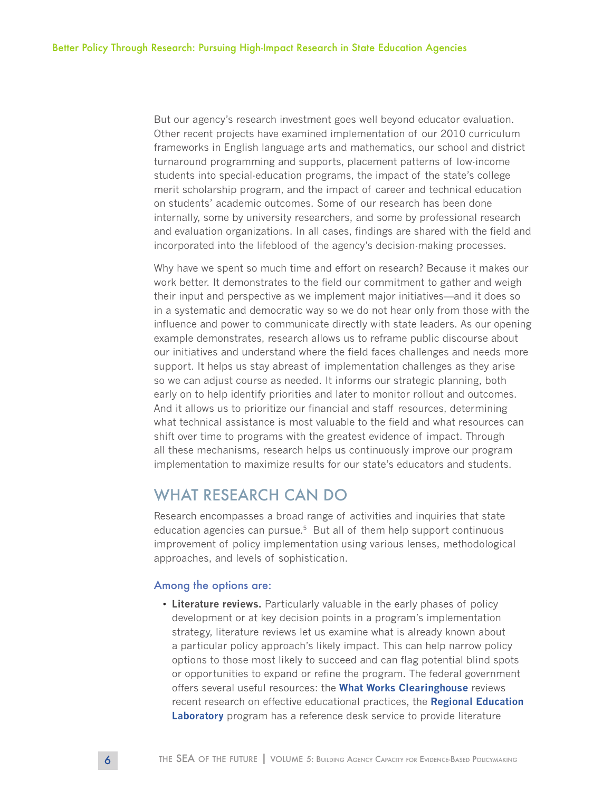But our agency's research investment goes well beyond educator evaluation. Other recent projects have examined implementation of our 2010 curriculum frameworks in English language arts and mathematics, our school and district turnaround programming and supports, placement patterns of low-income students into special-education programs, the impact of the state's college merit scholarship program, and the impact of career and technical education on students' academic outcomes. Some of our research has been done internally, some by university researchers, and some by professional research and evaluation organizations. In all cases, findings are shared with the field and incorporated into the lifeblood of the agency's decision-making processes.

Why have we spent so much time and effort on research? Because it makes our work better. It demonstrates to the field our commitment to gather and weigh their input and perspective as we implement major initiatives—and it does so in a systematic and democratic way so we do not hear only from those with the influence and power to communicate directly with state leaders. As our opening example demonstrates, research allows us to reframe public discourse about our initiatives and understand where the field faces challenges and needs more support. It helps us stay abreast of implementation challenges as they arise so we can adjust course as needed. It informs our strategic planning, both early on to help identify priorities and later to monitor rollout and outcomes. And it allows us to prioritize our financial and staff resources, determining what technical assistance is most valuable to the field and what resources can shift over time to programs with the greatest evidence of impact. Through all these mechanisms, research helps us continuously improve our program implementation to maximize results for our state's educators and students.

### WHAT RESEARCH CAN DO

Research encompasses a broad range of activities and inquiries that state education agencies can pursue. $5$  But all of them help support continuous improvement of policy implementation using various lenses, methodological approaches, and levels of sophistication.

#### Among the options are:

• **Literature reviews.** Particularly valuable in the early phases of policy development or at key decision points in a program's implementation strategy, literature reviews let us examine what is already known about a particular policy approach's likely impact. This can help narrow policy options to those most likely to succeed and can flag potential blind spots or opportunities to expand or refine the program. The federal government offers several useful resources: the **[What Works Clearinghouse](http://ies.ed.gov/ncee/wwc/)** reviews recent research on effective educational practices, the **[Regional Education](http://ies.ed.gov/ncee/edlabs/)  [Laboratory](http://ies.ed.gov/ncee/edlabs/)** program has a reference desk service to provide literature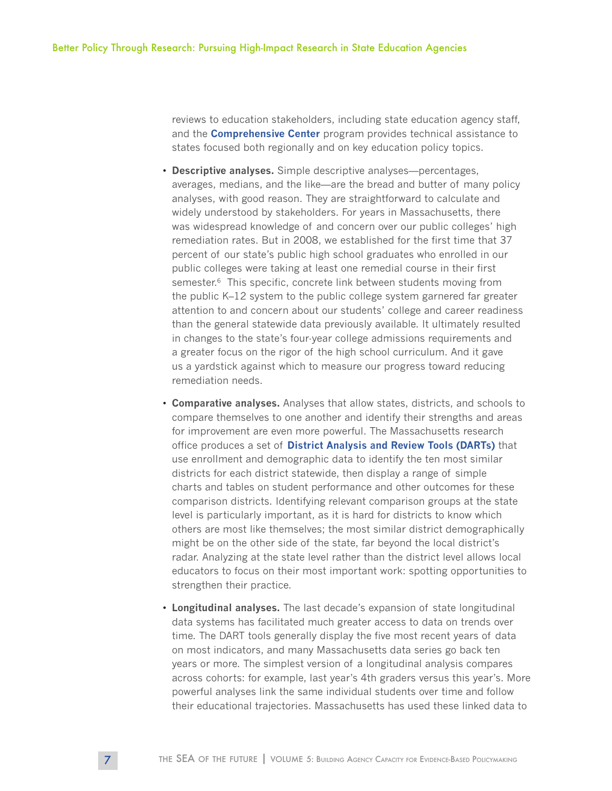reviews to education stakeholders, including state education agency staff, and the **[Comprehensive Center](http://www2.ed.gov/programs/newccp/index.html)** program provides technical assistance to states focused both regionally and on key education policy topics.

- **Descriptive analyses.** Simple descriptive analyses—percentages, averages, medians, and the like—are the bread and butter of many policy analyses, with good reason. They are straightforward to calculate and widely understood by stakeholders. For years in Massachusetts, there was widespread knowledge of and concern over our public colleges' high remediation rates. But in 2008, we established for the first time that 37 percent of our state's public high school graduates who enrolled in our public colleges were taking at least one remedial course in their first semester.<sup>6</sup> This specific, concrete link between students moving from the public K–12 system to the public college system garnered far greater attention to and concern about our students' college and career readiness than the general statewide data previously available. It ultimately resulted in changes to the state's four-year college admissions requirements and a greater focus on the rigor of the high school curriculum. And it gave us a yardstick against which to measure our progress toward reducing remediation needs.
- **Comparative analyses.** Analyses that allow states, districts, and schools to compare themselves to one another and identify their strengths and areas for improvement are even more powerful. The Massachusetts research office produces a set of **[District Analysis and Review Tools \(DARTs\)](http://www.doe.mass.edu/apa/dart/)** that use enrollment and demographic data to identify the ten most similar districts for each district statewide, then display a range of simple charts and tables on student performance and other outcomes for these comparison districts. Identifying relevant comparison groups at the state level is particularly important, as it is hard for districts to know which others are most like themselves; the most similar district demographically might be on the other side of the state, far beyond the local district's radar. Analyzing at the state level rather than the district level allows local educators to focus on their most important work: spotting opportunities to strengthen their practice.
- **Longitudinal analyses.** The last decade's expansion of state longitudinal data systems has facilitated much greater access to data on trends over time. The DART tools generally display the five most recent years of data on most indicators, and many Massachusetts data series go back ten years or more. The simplest version of a longitudinal analysis compares across cohorts: for example, last year's 4th graders versus this year's. More powerful analyses link the same individual students over time and follow their educational trajectories. Massachusetts has used these linked data to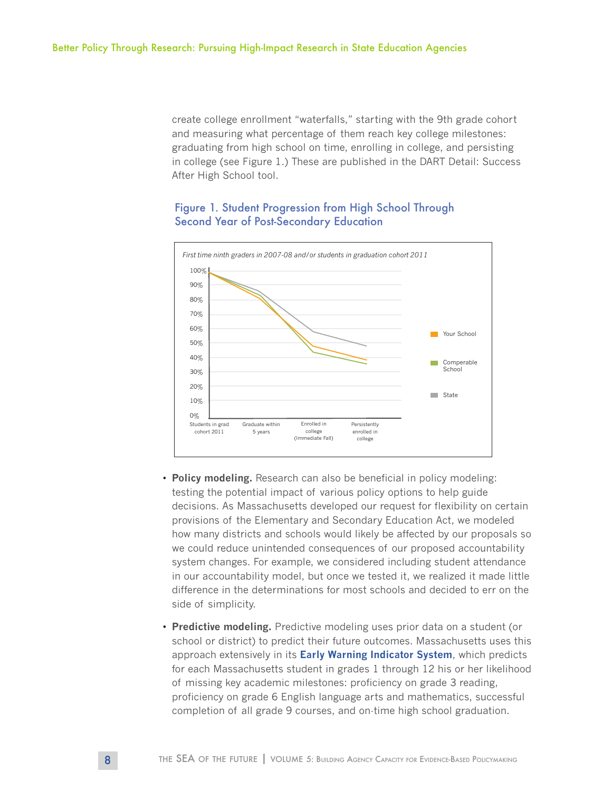create college enrollment "waterfalls," starting with the 9th grade cohort and measuring what percentage of them reach key college milestones: graduating from high school on time, enrolling in college, and persisting in college (see Figure 1.) These are published in the DART Detail: Success After High School tool.

#### Figure 1. Student Progression from High School Through Second Year of Post-Secondary Education



- **Policy modeling.** Research can also be beneficial in policy modeling: testing the potential impact of various policy options to help guide decisions. As Massachusetts developed our request for flexibility on certain provisions of the Elementary and Secondary Education Act, we modeled how many districts and schools would likely be affected by our proposals so we could reduce unintended consequences of our proposed accountability system changes. For example, we considered including student attendance in our accountability model, but once we tested it, we realized it made little difference in the determinations for most schools and decided to err on the side of simplicity.
- **Predictive modeling.** Predictive modeling uses prior data on a student (or school or district) to predict their future outcomes. Massachusetts uses this approach extensively in its **[Early Warning Indicator System](http://www.doe.mass.edu/edwin/analytics/ewis.html)**, which predicts for each Massachusetts student in grades 1 through 12 his or her likelihood of missing key academic milestones: proficiency on grade 3 reading, proficiency on grade 6 English language arts and mathematics, successful completion of all grade 9 courses, and on-time high school graduation.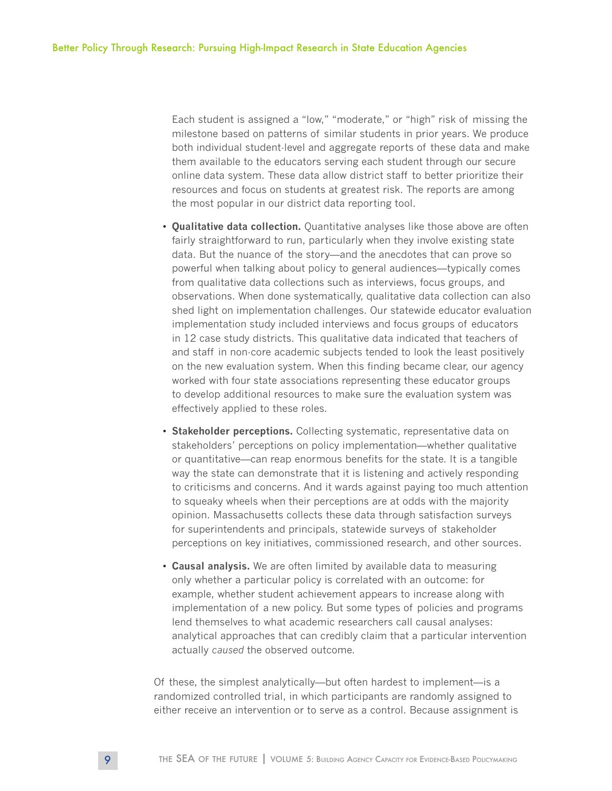Each student is assigned a "low," "moderate," or "high" risk of missing the milestone based on patterns of similar students in prior years. We produce both individual student-level and aggregate reports of these data and make them available to the educators serving each student through our secure online data system. These data allow district staff to better prioritize their resources and focus on students at greatest risk. The reports are among the most popular in our district data reporting tool.

- **Qualitative data collection.** Quantitative analyses like those above are often fairly straightforward to run, particularly when they involve existing state data. But the nuance of the story—and the anecdotes that can prove so powerful when talking about policy to general audiences—typically comes from qualitative data collections such as interviews, focus groups, and observations. When done systematically, qualitative data collection can also shed light on implementation challenges. Our statewide educator evaluation implementation study included interviews and focus groups of educators in 12 case study districts. This qualitative data indicated that teachers of and staff in non-core academic subjects tended to look the least positively on the new evaluation system. When this finding became clear, our agency worked with four state associations representing these educator groups to develop additional resources to make sure the evaluation system was effectively applied to these roles.
- **Stakeholder perceptions.** Collecting systematic, representative data on stakeholders' perceptions on policy implementation—whether qualitative or quantitative—can reap enormous benefits for the state. It is a tangible way the state can demonstrate that it is listening and actively responding to criticisms and concerns. And it wards against paying too much attention to squeaky wheels when their perceptions are at odds with the majority opinion. Massachusetts collects these data through satisfaction surveys for superintendents and principals, statewide surveys of stakeholder perceptions on key initiatives, commissioned research, and other sources.
- **Causal analysis.** We are often limited by available data to measuring only whether a particular policy is correlated with an outcome: for example, whether student achievement appears to increase along with implementation of a new policy. But some types of policies and programs lend themselves to what academic researchers call causal analyses: analytical approaches that can credibly claim that a particular intervention actually *caused* the observed outcome.

Of these, the simplest analytically—but often hardest to implement—is a randomized controlled trial, in which participants are randomly assigned to either receive an intervention or to serve as a control. Because assignment is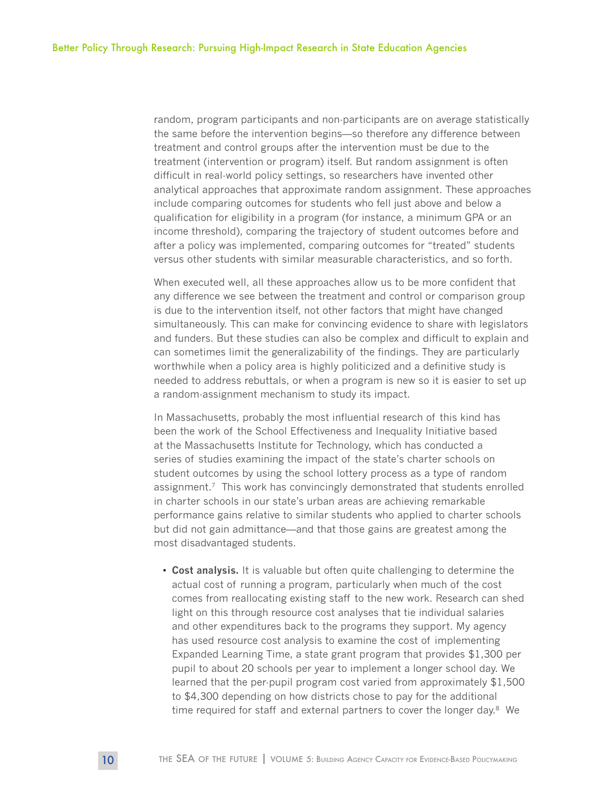random, program participants and non-participants are on average statistically the same before the intervention begins—so therefore any difference between treatment and control groups after the intervention must be due to the treatment (intervention or program) itself. But random assignment is often difficult in real-world policy settings, so researchers have invented other analytical approaches that approximate random assignment. These approaches include comparing outcomes for students who fell just above and below a qualification for eligibility in a program (for instance, a minimum GPA or an income threshold), comparing the trajectory of student outcomes before and after a policy was implemented, comparing outcomes for "treated" students versus other students with similar measurable characteristics, and so forth.

When executed well, all these approaches allow us to be more confident that any difference we see between the treatment and control or comparison group is due to the intervention itself, not other factors that might have changed simultaneously. This can make for convincing evidence to share with legislators and funders. But these studies can also be complex and difficult to explain and can sometimes limit the generalizability of the findings. They are particularly worthwhile when a policy area is highly politicized and a definitive study is needed to address rebuttals, or when a program is new so it is easier to set up a random-assignment mechanism to study its impact.

In Massachusetts, probably the most influential research of this kind has been the work of the School Effectiveness and Inequality Initiative based at the Massachusetts Institute for Technology, which has conducted a series of studies examining the impact of the state's charter schools on student outcomes by using the school lottery process as a type of random assignment.7 This work has convincingly demonstrated that students enrolled in charter schools in our state's urban areas are achieving remarkable performance gains relative to similar students who applied to charter schools but did not gain admittance—and that those gains are greatest among the most disadvantaged students.

• **Cost analysis.** It is valuable but often quite challenging to determine the actual cost of running a program, particularly when much of the cost comes from reallocating existing staff to the new work. Research can shed light on this through resource cost analyses that tie individual salaries and other expenditures back to the programs they support. My agency has used resource cost analysis to examine the cost of implementing Expanded Learning Time, a state grant program that provides \$1,300 per pupil to about 20 schools per year to implement a longer school day. We learned that the per-pupil program cost varied from approximately \$1,500 to \$4,300 depending on how districts chose to pay for the additional time required for staff and external partners to cover the longer day.<sup>8</sup> We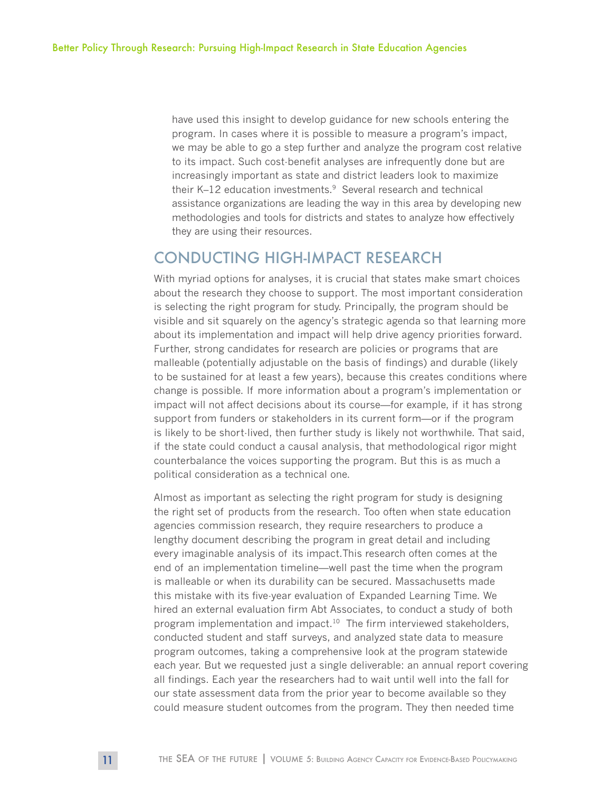have used this insight to develop guidance for new schools entering the program. In cases where it is possible to measure a program's impact, we may be able to go a step further and analyze the program cost relative to its impact. Such cost-benefit analyses are infrequently done but are increasingly important as state and district leaders look to maximize their K–12 education investments.<sup>9</sup> Several research and technical assistance organizations are leading the way in this area by developing new methodologies and tools for districts and states to analyze how effectively they are using their resources.

### CONDUCTING HIGH-IMPACT RESEARCH

With myriad options for analyses, it is crucial that states make smart choices about the research they choose to support. The most important consideration is selecting the right program for study. Principally, the program should be visible and sit squarely on the agency's strategic agenda so that learning more about its implementation and impact will help drive agency priorities forward. Further, strong candidates for research are policies or programs that are malleable (potentially adjustable on the basis of findings) and durable (likely to be sustained for at least a few years), because this creates conditions where change is possible. If more information about a program's implementation or impact will not affect decisions about its course—for example, if it has strong support from funders or stakeholders in its current form—or if the program is likely to be short-lived, then further study is likely not worthwhile. That said, if the state could conduct a causal analysis, that methodological rigor might counterbalance the voices supporting the program. But this is as much a political consideration as a technical one.

Almost as important as selecting the right program for study is designing the right set of products from the research. Too often when state education agencies commission research, they require researchers to produce a lengthy document describing the program in great detail and including every imaginable analysis of its impact.This research often comes at the end of an implementation timeline—well past the time when the program is malleable or when its durability can be secured. Massachusetts made this mistake with its five-year evaluation of Expanded Learning Time. We hired an external evaluation firm Abt Associates, to conduct a study of both program implementation and impact.10 The firm interviewed stakeholders, conducted student and staff surveys, and analyzed state data to measure program outcomes, taking a comprehensive look at the program statewide each year. But we requested just a single deliverable: an annual report covering all findings. Each year the researchers had to wait until well into the fall for our state assessment data from the prior year to become available so they could measure student outcomes from the program. They then needed time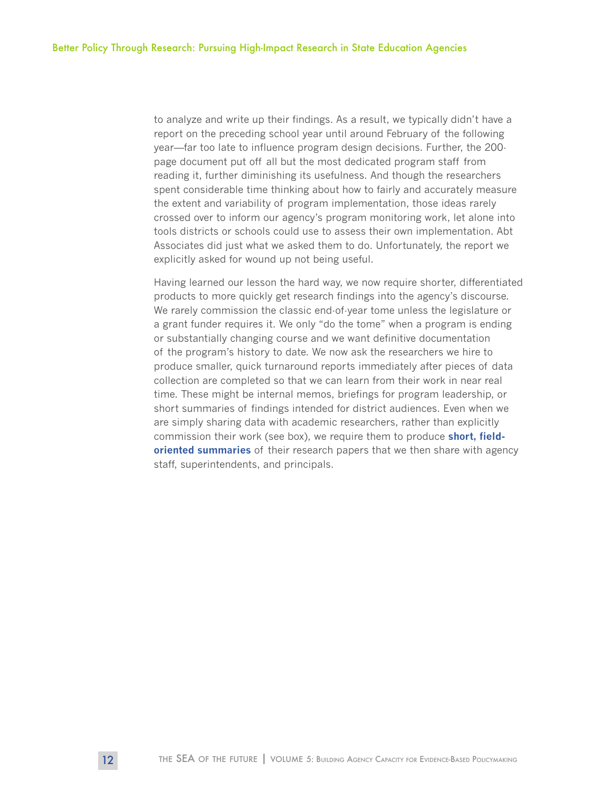to analyze and write up their findings. As a result, we typically didn't have a report on the preceding school year until around February of the following year—far too late to influence program design decisions. Further, the 200 page document put off all but the most dedicated program staff from reading it, further diminishing its usefulness. And though the researchers spent considerable time thinking about how to fairly and accurately measure the extent and variability of program implementation, those ideas rarely crossed over to inform our agency's program monitoring work, let alone into tools districts or schools could use to assess their own implementation. Abt Associates did just what we asked them to do. Unfortunately, the report we explicitly asked for wound up not being useful.

Having learned our lesson the hard way, we now require shorter, differentiated products to more quickly get research findings into the agency's discourse. We rarely commission the classic end-of-year tome unless the legislature or a grant funder requires it. We only "do the tome" when a program is ending or substantially changing course and we want definitive documentation of the program's history to date. We now ask the researchers we hire to produce smaller, quick turnaround reports immediately after pieces of data collection are completed so that we can learn from their work in near real time. These might be internal memos, briefings for program leadership, or short summaries of findings intended for district audiences. Even when we are simply sharing data with academic researchers, rather than explicitly commission their work (see box), we require them to produce **[short, field](http://www.doe.mass.edu/research/reports/category.aspx?section=education)[oriented summaries](http://www.doe.mass.edu/research/reports/category.aspx?section=education)** of their research papers that we then share with agency staff, superintendents, and principals.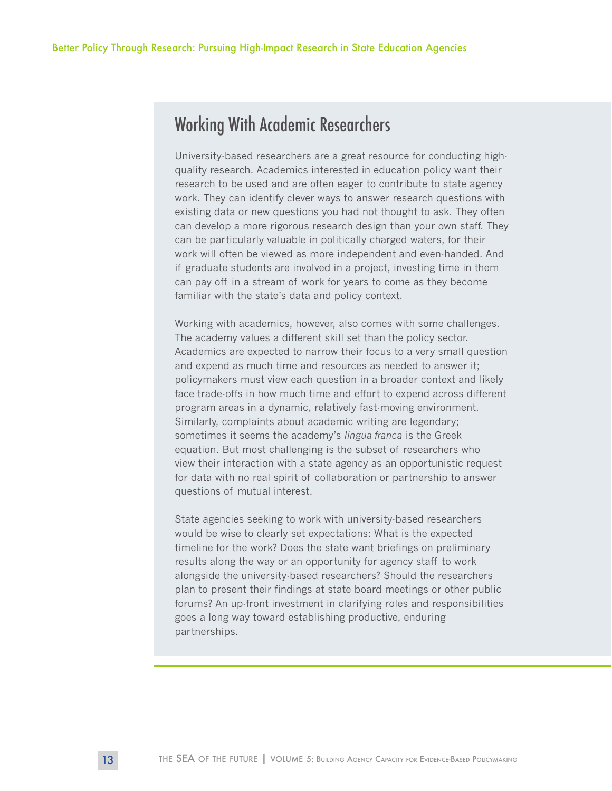## Working With Academic Researchers

University-based researchers are a great resource for conducting highquality research. Academics interested in education policy want their research to be used and are often eager to contribute to state agency work. They can identify clever ways to answer research questions with existing data or new questions you had not thought to ask. They often can develop a more rigorous research design than your own staff. They can be particularly valuable in politically charged waters, for their work will often be viewed as more independent and even-handed. And if graduate students are involved in a project, investing time in them can pay off in a stream of work for years to come as they become familiar with the state's data and policy context.

Working with academics, however, also comes with some challenges. The academy values a different skill set than the policy sector. Academics are expected to narrow their focus to a very small question and expend as much time and resources as needed to answer it; policymakers must view each question in a broader context and likely face trade-offs in how much time and effort to expend across different program areas in a dynamic, relatively fast-moving environment. Similarly, complaints about academic writing are legendary; sometimes it seems the academy's *lingua franca* is the Greek equation. But most challenging is the subset of researchers who view their interaction with a state agency as an opportunistic request for data with no real spirit of collaboration or partnership to answer questions of mutual interest.

State agencies seeking to work with university-based researchers would be wise to clearly set expectations: What is the expected timeline for the work? Does the state want briefings on preliminary results along the way or an opportunity for agency staff to work alongside the university-based researchers? Should the researchers plan to present their findings at state board meetings or other public forums? An up-front investment in clarifying roles and responsibilities goes a long way toward establishing productive, enduring partnerships.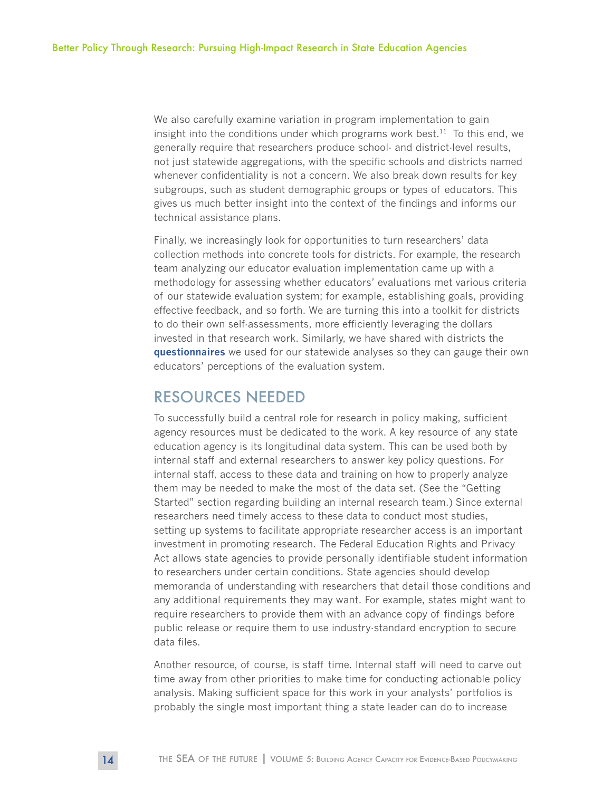We also carefully examine variation in program implementation to gain insight into the conditions under which programs work best.<sup>11</sup> To this end, we generally require that researchers produce school- and district-level results, not just statewide aggregations, with the specific schools and districts named whenever confidentiality is not a concern. We also break down results for key subgroups, such as student demographic groups or types of educators. This gives us much better insight into the context of the findings and informs our technical assistance plans.

Finally, we increasingly look for opportunities to turn researchers' data collection methods into concrete tools for districts. For example, the research team analyzing our educator evaluation implementation came up with a methodology for assessing whether educators' evaluations met various criteria of our statewide evaluation system; for example, establishing goals, providing effective feedback, and so forth. We are turning this into a toolkit for districts to do their own self-assessments, more efficiently leveraging the dollars invested in that research work. Similarly, we have shared with districts the **[questionnaires](http://www.doe.mass.edu/edeval/resources/)** we used for our statewide analyses so they can gauge their own educators' perceptions of the evaluation system.

### RESOURCES NEEDED

To successfully build a central role for research in policy making, sufficient agency resources must be dedicated to the work. A key resource of any state education agency is its longitudinal data system. This can be used both by internal staff and external researchers to answer key policy questions. For internal staff, access to these data and training on how to properly analyze them may be needed to make the most of the data set. (See the "Getting Started" section regarding building an internal research team.) Since external researchers need timely access to these data to conduct most studies, setting up systems to facilitate appropriate researcher access is an important investment in promoting research. The Federal Education Rights and Privacy Act allows state agencies to provide personally identifiable student information to researchers under certain conditions. State agencies should develop memoranda of understanding with researchers that detail those conditions and any additional requirements they may want. For example, states might want to require researchers to provide them with an advance copy of findings before public release or require them to use industry-standard encryption to secure data files.

Another resource, of course, is staff time. Internal staff will need to carve out time away from other priorities to make time for conducting actionable policy analysis. Making sufficient space for this work in your analysts' portfolios is probably the single most important thing a state leader can do to increase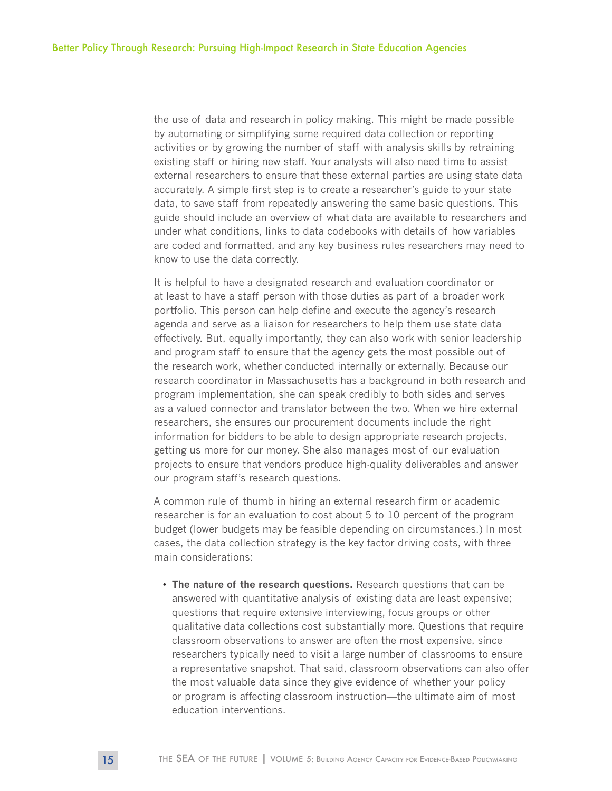the use of data and research in policy making. This might be made possible by automating or simplifying some required data collection or reporting activities or by growing the number of staff with analysis skills by retraining existing staff or hiring new staff. Your analysts will also need time to assist external researchers to ensure that these external parties are using state data accurately. A simple first step is to create a researcher's guide to your state data, to save staff from repeatedly answering the same basic questions. This guide should include an overview of what data are available to researchers and under what conditions, links to data codebooks with details of how variables are coded and formatted, and any key business rules researchers may need to know to use the data correctly.

It is helpful to have a designated research and evaluation coordinator or at least to have a staff person with those duties as part of a broader work portfolio. This person can help define and execute the agency's research agenda and serve as a liaison for researchers to help them use state data effectively. But, equally importantly, they can also work with senior leadership and program staff to ensure that the agency gets the most possible out of the research work, whether conducted internally or externally. Because our research coordinator in Massachusetts has a background in both research and program implementation, she can speak credibly to both sides and serves as a valued connector and translator between the two. When we hire external researchers, she ensures our procurement documents include the right information for bidders to be able to design appropriate research projects, getting us more for our money. She also manages most of our evaluation projects to ensure that vendors produce high-quality deliverables and answer our program staff's research questions.

A common rule of thumb in hiring an external research firm or academic researcher is for an evaluation to cost about 5 to 10 percent of the program budget (lower budgets may be feasible depending on circumstances.) In most cases, the data collection strategy is the key factor driving costs, with three main considerations:

• **The nature of the research questions.** Research questions that can be answered with quantitative analysis of existing data are least expensive; questions that require extensive interviewing, focus groups or other qualitative data collections cost substantially more. Questions that require classroom observations to answer are often the most expensive, since researchers typically need to visit a large number of classrooms to ensure a representative snapshot. That said, classroom observations can also offer the most valuable data since they give evidence of whether your policy or program is affecting classroom instruction—the ultimate aim of most education interventions.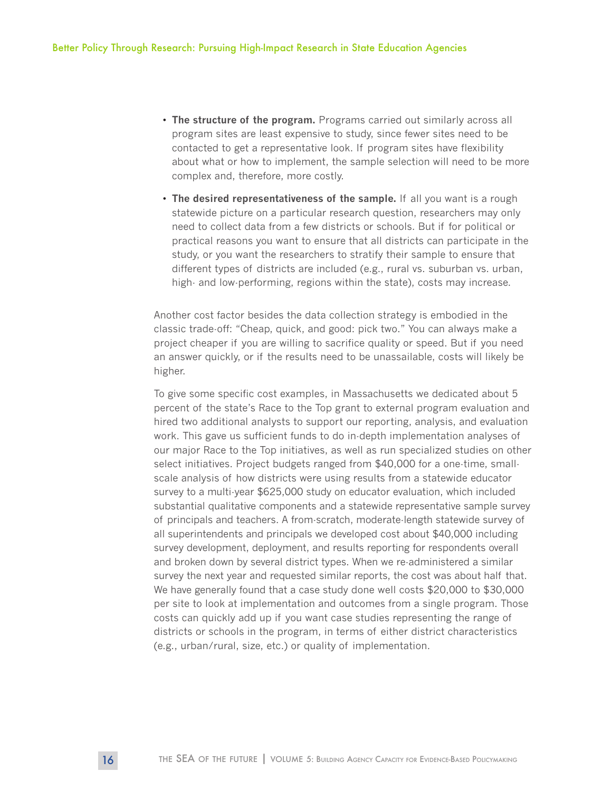- **The structure of the program.** Programs carried out similarly across all program sites are least expensive to study, since fewer sites need to be contacted to get a representative look. If program sites have flexibility about what or how to implement, the sample selection will need to be more complex and, therefore, more costly.
- **The desired representativeness of the sample.** If all you want is a rough statewide picture on a particular research question, researchers may only need to collect data from a few districts or schools. But if for political or practical reasons you want to ensure that all districts can participate in the study, or you want the researchers to stratify their sample to ensure that different types of districts are included (e.g., rural vs. suburban vs. urban, high- and low-performing, regions within the state), costs may increase.

Another cost factor besides the data collection strategy is embodied in the classic trade-off: "Cheap, quick, and good: pick two." You can always make a project cheaper if you are willing to sacrifice quality or speed. But if you need an answer quickly, or if the results need to be unassailable, costs will likely be higher.

To give some specific cost examples, in Massachusetts we dedicated about 5 percent of the state's Race to the Top grant to external program evaluation and hired two additional analysts to support our reporting, analysis, and evaluation work. This gave us sufficient funds to do in-depth implementation analyses of our major Race to the Top initiatives, as well as run specialized studies on other select initiatives. Project budgets ranged from \$40,000 for a one-time, smallscale analysis of how districts were using results from a statewide educator survey to a multi-year \$625,000 study on educator evaluation, which included substantial qualitative components and a statewide representative sample survey of principals and teachers. A from-scratch, moderate-length statewide survey of all superintendents and principals we developed cost about \$40,000 including survey development, deployment, and results reporting for respondents overall and broken down by several district types. When we re-administered a similar survey the next year and requested similar reports, the cost was about half that. We have generally found that a case study done well costs \$20,000 to \$30,000 per site to look at implementation and outcomes from a single program. Those costs can quickly add up if you want case studies representing the range of districts or schools in the program, in terms of either district characteristics (e.g., urban/rural, size, etc.) or quality of implementation.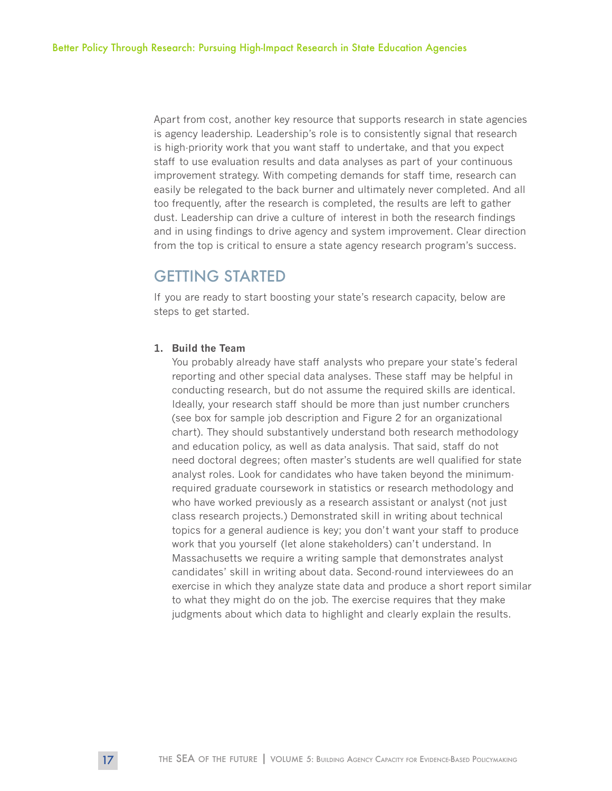Apart from cost, another key resource that supports research in state agencies is agency leadership. Leadership's role is to consistently signal that research is high-priority work that you want staff to undertake, and that you expect staff to use evaluation results and data analyses as part of your continuous improvement strategy. With competing demands for staff time, research can easily be relegated to the back burner and ultimately never completed. And all too frequently, after the research is completed, the results are left to gather dust. Leadership can drive a culture of interest in both the research findings and in using findings to drive agency and system improvement. Clear direction from the top is critical to ensure a state agency research program's success.

## GETTING STARTED

If you are ready to start boosting your state's research capacity, below are steps to get started.

#### **1. Build the Team**

You probably already have staff analysts who prepare your state's federal reporting and other special data analyses. These staff may be helpful in conducting research, but do not assume the required skills are identical. Ideally, your research staff should be more than just number crunchers (see box for sample job description and Figure 2 for an organizational chart). They should substantively understand both research methodology and education policy, as well as data analysis. That said, staff do not need doctoral degrees; often master's students are well qualified for state analyst roles. Look for candidates who have taken beyond the minimumrequired graduate coursework in statistics or research methodology and who have worked previously as a research assistant or analyst (not just class research projects.) Demonstrated skill in writing about technical topics for a general audience is key; you don't want your staff to produce work that you yourself (let alone stakeholders) can't understand. In Massachusetts we require a writing sample that demonstrates analyst candidates' skill in writing about data. Second-round interviewees do an exercise in which they analyze state data and produce a short report similar to what they might do on the job. The exercise requires that they make judgments about which data to highlight and clearly explain the results.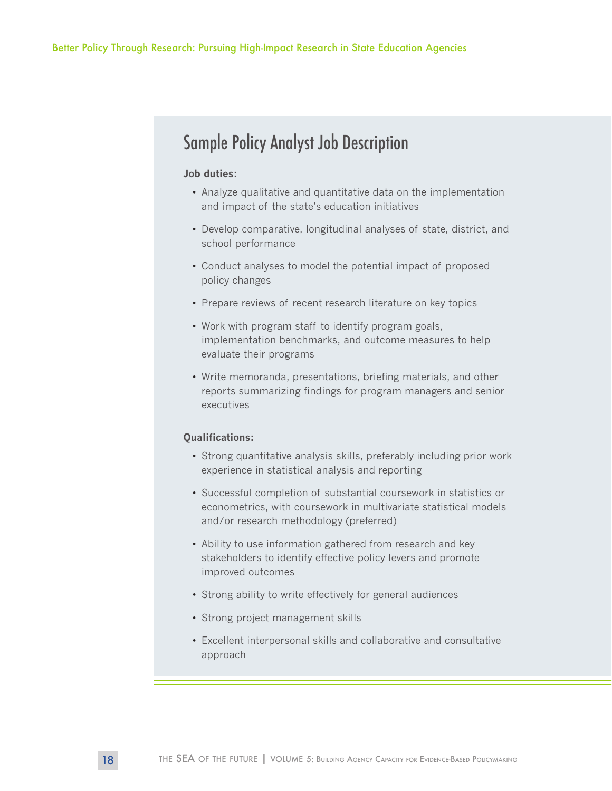## Sample Policy Analyst Job Description

#### **Job duties:**

- Analyze qualitative and quantitative data on the implementation and impact of the state's education initiatives
- Develop comparative, longitudinal analyses of state, district, and school performance
- Conduct analyses to model the potential impact of proposed policy changes
- Prepare reviews of recent research literature on key topics
- Work with program staff to identify program goals, implementation benchmarks, and outcome measures to help evaluate their programs
- Write memoranda, presentations, briefing materials, and other reports summarizing findings for program managers and senior executives

#### **Qualifications:**

- Strong quantitative analysis skills, preferably including prior work experience in statistical analysis and reporting
- Successful completion of substantial coursework in statistics or econometrics, with coursework in multivariate statistical models and/or research methodology (preferred)
- Ability to use information gathered from research and key stakeholders to identify effective policy levers and promote improved outcomes
- Strong ability to write effectively for general audiences
- Strong project management skills
- Excellent interpersonal skills and collaborative and consultative approach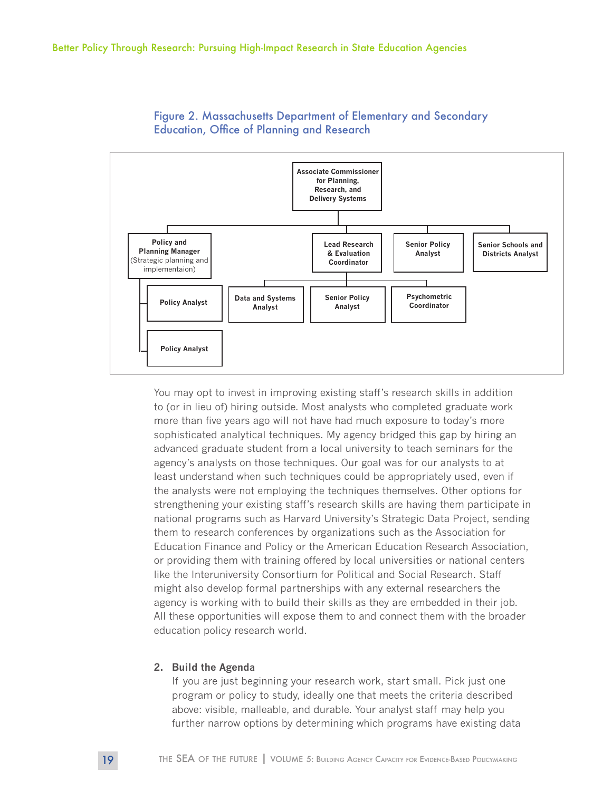



You may opt to invest in improving existing staff's research skills in addition to (or in lieu of) hiring outside. Most analysts who completed graduate work more than five years ago will not have had much exposure to today's more sophisticated analytical techniques. My agency bridged this gap by hiring an advanced graduate student from a local university to teach seminars for the agency's analysts on those techniques. Our goal was for our analysts to at least understand when such techniques could be appropriately used, even if the analysts were not employing the techniques themselves. Other options for strengthening your existing staff's research skills are having them participate in national programs such as Harvard University's Strategic Data Project, sending them to research conferences by organizations such as the Association for Education Finance and Policy or the American Education Research Association, or providing them with training offered by local universities or national centers like the Interuniversity Consortium for Political and Social Research. Staff might also develop formal partnerships with any external researchers the agency is working with to build their skills as they are embedded in their job. All these opportunities will expose them to and connect them with the broader education policy research world.

#### **2. Build the Agenda**

If you are just beginning your research work, start small. Pick just one program or policy to study, ideally one that meets the criteria described above: visible, malleable, and durable. Your analyst staff may help you further narrow options by determining which programs have existing data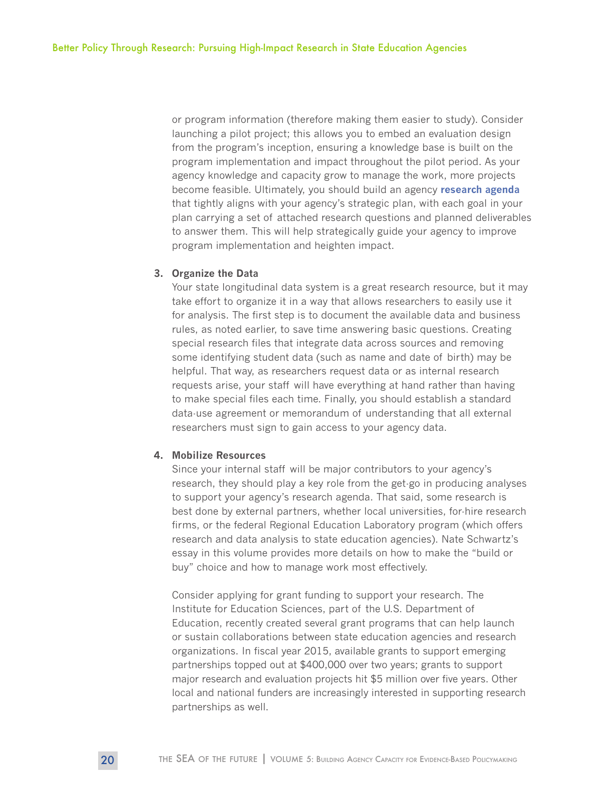or program information (therefore making them easier to study). Consider launching a pilot project; this allows you to embed an evaluation design from the program's inception, ensuring a knowledge base is built on the program implementation and impact throughout the pilot period. As your agency knowledge and capacity grow to manage the work, more projects become feasible. Ultimately, you should build an agency **[research agenda](http://www.doe.mass.edu/research/agenda.html)** that tightly aligns with your agency's strategic plan, with each goal in your plan carrying a set of attached research questions and planned deliverables to answer them. This will help strategically guide your agency to improve program implementation and heighten impact.

#### **3. Organize the Data**

Your state longitudinal data system is a great research resource, but it may take effort to organize it in a way that allows researchers to easily use it for analysis. The first step is to document the available data and business rules, as noted earlier, to save time answering basic questions. Creating special research files that integrate data across sources and removing some identifying student data (such as name and date of birth) may be helpful. That way, as researchers request data or as internal research requests arise, your staff will have everything at hand rather than having to make special files each time. Finally, you should establish a standard data-use agreement or memorandum of understanding that all external researchers must sign to gain access to your agency data.

#### **4. Mobilize Resources**

Since your internal staff will be major contributors to your agency's research, they should play a key role from the get-go in producing analyses to support your agency's research agenda. That said, some research is best done by external partners, whether local universities, for-hire research firms, or the federal Regional Education Laboratory program (which offers research and data analysis to state education agencies). Nate Schwartz's essay in this volume provides more details on how to make the "build or buy" choice and how to manage work most effectively.

Consider applying for grant funding to support your research. The Institute for Education Sciences, part of the U.S. Department of Education, recently created several grant programs that can help launch or sustain collaborations between state education agencies and research organizations. In fiscal year 2015, available grants to support emerging partnerships topped out at \$400,000 over two years; grants to support major research and evaluation projects hit \$5 million over five years. Other local and national funders are increasingly interested in supporting research partnerships as well.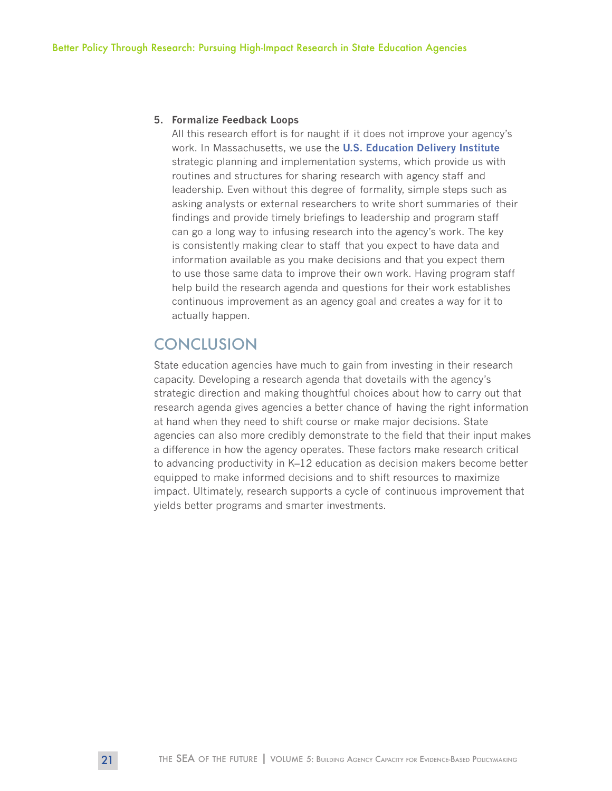#### **5. Formalize Feedback Loops**

All this research effort is for naught if it does not improve your agency's work. In Massachusetts, we use the **[U.S. Education Delivery Institute](http://www.deliveryinstitute.org/)** strategic planning and implementation systems, which provide us with routines and structures for sharing research with agency staff and leadership. Even without this degree of formality, simple steps such as asking analysts or external researchers to write short summaries of their findings and provide timely briefings to leadership and program staff can go a long way to infusing research into the agency's work. The key is consistently making clear to staff that you expect to have data and information available as you make decisions and that you expect them to use those same data to improve their own work. Having program staff help build the research agenda and questions for their work establishes continuous improvement as an agency goal and creates a way for it to actually happen.

## **CONCLUSION**

State education agencies have much to gain from investing in their research capacity. Developing a research agenda that dovetails with the agency's strategic direction and making thoughtful choices about how to carry out that research agenda gives agencies a better chance of having the right information at hand when they need to shift course or make major decisions. State agencies can also more credibly demonstrate to the field that their input makes a difference in how the agency operates. These factors make research critical to advancing productivity in K–12 education as decision makers become better equipped to make informed decisions and to shift resources to maximize impact. Ultimately, research supports a cycle of continuous improvement that yields better programs and smarter investments.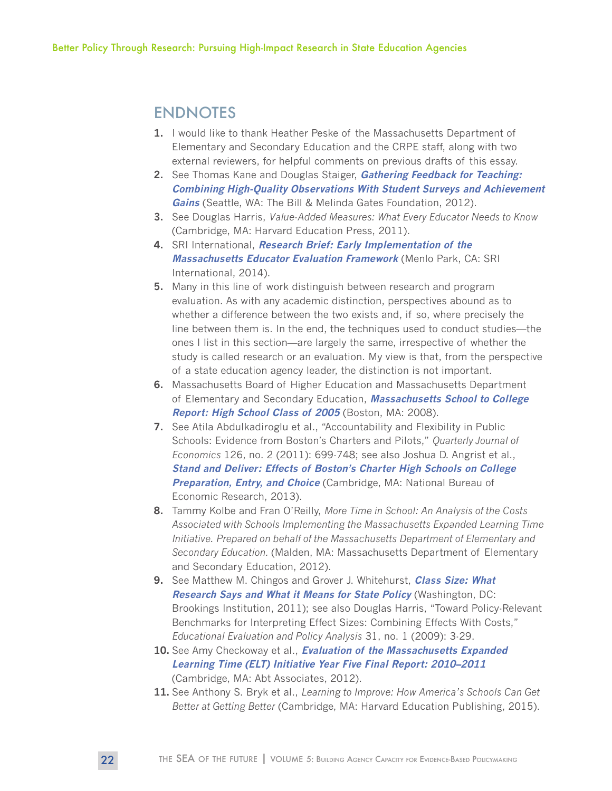## ENDNOTES

- **1.** I would like to thank Heather Peske of the Massachusetts Department of Elementary and Secondary Education and the CRPE staff, along with two external reviewers, for helpful comments on previous drafts of this essay.
- **2.** See Thomas Kane and Douglas Staiger, **[Gathering Feedback for Teaching:](http://www.metproject.org/downloads/MET_Gathering_Feedback_Research_Paper.pdf)  [Combining High-Quality Observations With Student Surveys and Achievement](http://www.metproject.org/downloads/MET_Gathering_Feedback_Research_Paper.pdf)  [Gains](http://www.metproject.org/downloads/MET_Gathering_Feedback_Research_Paper.pdf)** (Seattle, WA: The Bill & Melinda Gates Foundation, 2012).
- **3.** See Douglas Harris, *Value-Added Measures: What Every Educator Needs to Know* (Cambridge, MA: Harvard Education Press, 2011).
- **4.** SRI International, **[Research Brief: Early Implementation of the](https://www.sri.com/work/publications/research-brief-early-implementation-massachusetts-educator-evaluation-framework)  [Massachusetts Educator Evaluation Framework](https://www.sri.com/work/publications/research-brief-early-implementation-massachusetts-educator-evaluation-framework)** (Menlo Park, CA: SRI International, 2014).
- **5.** Many in this line of work distinguish between research and program evaluation. As with any academic distinction, perspectives abound as to whether a difference between the two exists and, if so, where precisely the line between them is. In the end, the techniques used to conduct studies—the ones I list in this section—are largely the same, irrespective of whether the study is called research or an evaluation. My view is that, from the perspective of a state education agency leader, the distinction is not important.
- **6.** Massachusetts Board of Higher Education and Massachusetts Department of Elementary and Secondary Education, **[Massachusetts School to College](http://www.mass.edu/bhe/lib/reports/2005SchoolToCollegeStateReport.pdf)  [Report: High School Class of 2005](http://www.mass.edu/bhe/lib/reports/2005SchoolToCollegeStateReport.pdf)** (Boston, MA: 2008).
- **7.** See Atila Abdulkadiroglu et al., "Accountability and Flexibility in Public Schools: Evidence from Boston's Charters and Pilots," *Quarterly Journal of Economics* 126, no. 2 (2011): 699-748; see also Joshua D. Angrist et al., **[Stand and Deliver: Effects of Boston's Charter High Schools on College](http://economics.mit.edu/files/8981)  Preparation, Entry, and Choice** (Cambridge, MA: National Bureau of Economic Research, 2013).
- **8.** Tammy Kolbe and Fran O'Reilly, *More Time in School: An Analysis of the Costs Associated with Schools Implementing the Massachusetts Expanded Learning Time Initiative. Prepared on behalf of the Massachusetts Department of Elementary and Secondary Education.* (Malden, MA: Massachusetts Department of Elementary and Secondary Education, 2012).
- **9.** See Matthew M. Chingos and Grover J. Whitehurst, **[Class Size: What](http://www.brookings.edu/research/papers/2011/05/11-class-size-whitehurst-chingos)  [Research Says and What it Means for State Policy](http://www.brookings.edu/research/papers/2011/05/11-class-size-whitehurst-chingos)** (Washington, DC: Brookings Institution, 2011); see also Douglas Harris, "Toward Policy-Relevant Benchmarks for Interpreting Effect Sizes: Combining Effects With Costs," *Educational Evaluation and Policy Analysis* 31, no. 1 (2009): 3-29.
- **10.** See Amy Checkoway et al., **[Evaluation of the Massachusetts Expanded](http://abtassociates.com/Reports/2012/-ELT-Year-5-Final-Report.aspx)  [Learning Time \(ELT\) Initiative Year Five Final Report: 2010–2011](http://abtassociates.com/Reports/2012/-ELT-Year-5-Final-Report.aspx)** (Cambridge, MA: Abt Associates, 2012).
- **11.** See Anthony S. Bryk et al., *Learning to Improve: How America's Schools Can Get Better at Getting Better* (Cambridge, MA: Harvard Education Publishing, 2015).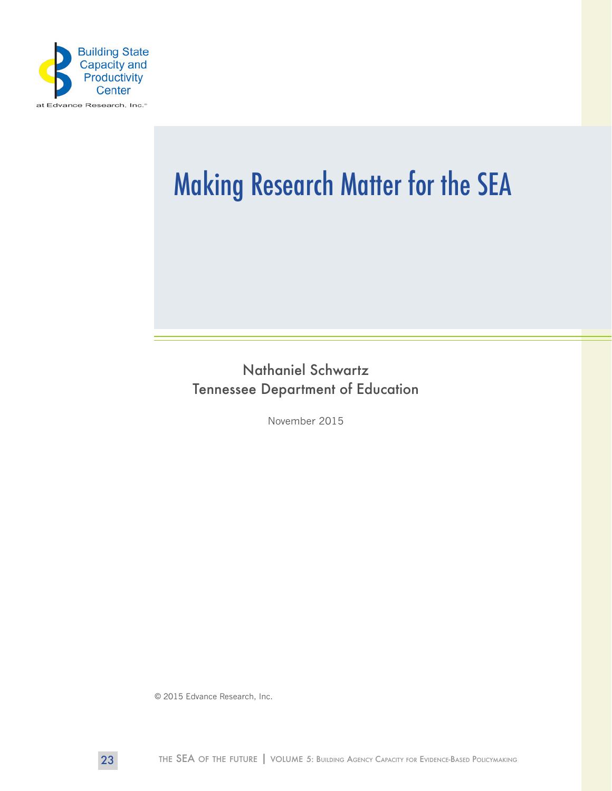

# Making Research Matter for the SEA

Nathaniel Schwartz Tennessee Department of Education

November 2015

© 2015 Edvance Research, Inc.

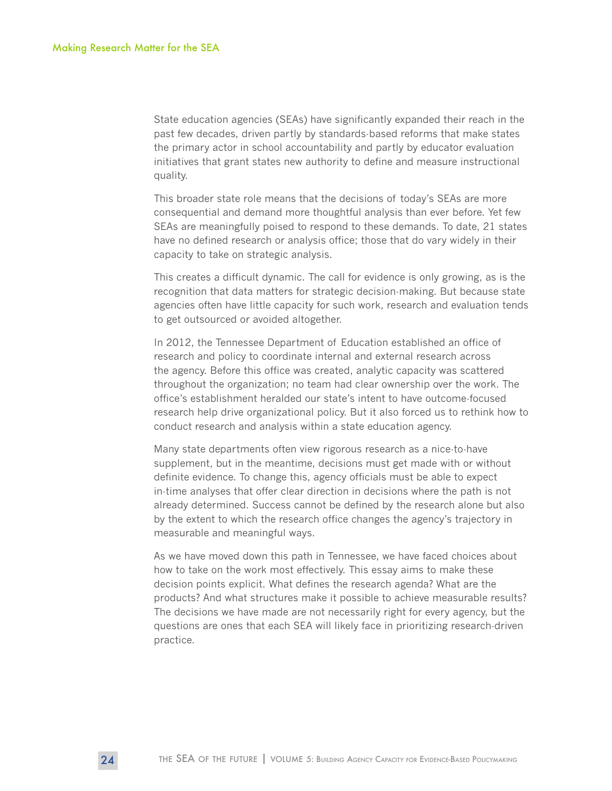State education agencies (SEAs) have significantly expanded their reach in the past few decades, driven partly by standards-based reforms that make states the primary actor in school accountability and partly by educator evaluation initiatives that grant states new authority to define and measure instructional quality.

This broader state role means that the decisions of today's SEAs are more consequential and demand more thoughtful analysis than ever before. Yet few SEAs are meaningfully poised to respond to these demands. To date, 21 states have no defined research or analysis office; those that do vary widely in their capacity to take on strategic analysis.

This creates a difficult dynamic. The call for evidence is only growing, as is the recognition that data matters for strategic decision-making. But because state agencies often have little capacity for such work, research and evaluation tends to get outsourced or avoided altogether.

In 2012, the Tennessee Department of Education established an office of research and policy to coordinate internal and external research across the agency. Before this office was created, analytic capacity was scattered throughout the organization; no team had clear ownership over the work. The office's establishment heralded our state's intent to have outcome-focused research help drive organizational policy. But it also forced us to rethink how to conduct research and analysis within a state education agency.

Many state departments often view rigorous research as a nice-to-have supplement, but in the meantime, decisions must get made with or without definite evidence. To change this, agency officials must be able to expect in-time analyses that offer clear direction in decisions where the path is not already determined. Success cannot be defined by the research alone but also by the extent to which the research office changes the agency's trajectory in measurable and meaningful ways.

As we have moved down this path in Tennessee, we have faced choices about how to take on the work most effectively. This essay aims to make these decision points explicit. What defines the research agenda? What are the products? And what structures make it possible to achieve measurable results? The decisions we have made are not necessarily right for every agency, but the questions are ones that each SEA will likely face in prioritizing research-driven practice.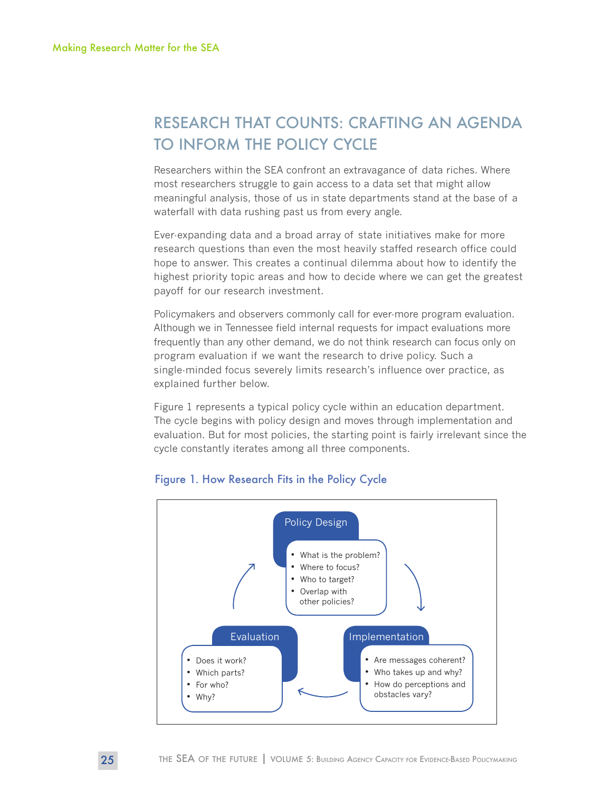## RESEARCH THAT COUNTS: CRAFTING AN AGENDA TO INFORM THE POLICY CYCLE

Researchers within the SEA confront an extravagance of data riches. Where most researchers struggle to gain access to a data set that might allow meaningful analysis, those of us in state departments stand at the base of a waterfall with data rushing past us from every angle.

Ever-expanding data and a broad array of state initiatives make for more research questions than even the most heavily staffed research office could hope to answer. This creates a continual dilemma about how to identify the highest priority topic areas and how to decide where we can get the greatest payoff for our research investment.

Policymakers and observers commonly call for ever-more program evaluation. Although we in Tennessee field internal requests for impact evaluations more frequently than any other demand, we do not think research can focus only on program evaluation if we want the research to drive policy. Such a single-minded focus severely limits research's influence over practice, as explained further below.

Figure 1 represents a typical policy cycle within an education department. The cycle begins with policy design and moves through implementation and evaluation. But for most policies, the starting point is fairly irrelevant since the cycle constantly iterates among all three components.



#### Figure 1. How Research Fits in the Policy Cycle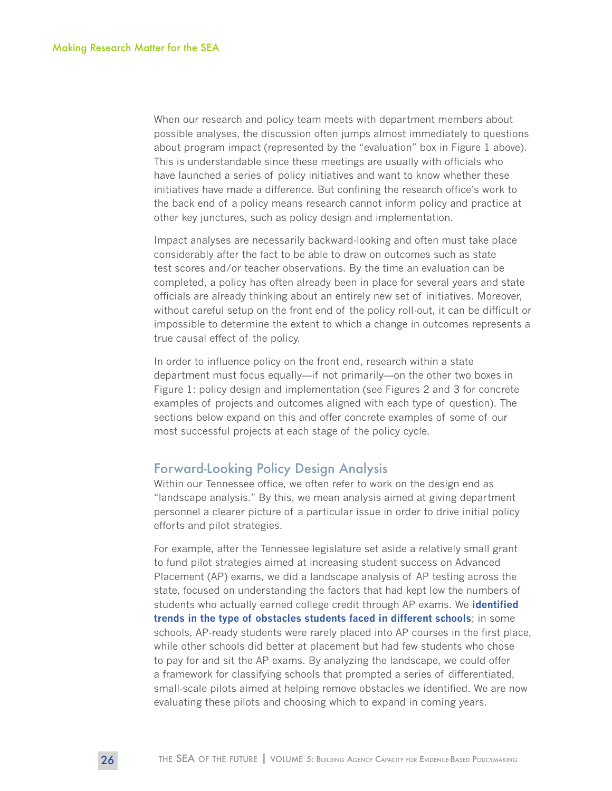When our research and policy team meets with department members about possible analyses, the discussion often jumps almost immediately to questions about program impact (represented by the "evaluation" box in Figure 1 above). This is understandable since these meetings are usually with officials who have launched a series of policy initiatives and want to know whether these initiatives have made a difference. But confining the research office's work to the back end of a policy means research cannot inform policy and practice at other key junctures, such as policy design and implementation.

Impact analyses are necessarily backward-looking and often must take place considerably after the fact to be able to draw on outcomes such as state test scores and/or teacher observations. By the time an evaluation can be completed, a policy has often already been in place for several years and state officials are already thinking about an entirely new set of initiatives. Moreover, without careful setup on the front end of the policy roll-out, it can be difficult or impossible to determine the extent to which a change in outcomes represents a true causal effect of the policy.

In order to influence policy on the front end, research within a state department must focus equally—if not primarily—on the other two boxes in Figure 1: policy design and implementation (see Figures 2 and 3 for concrete examples of projects and outcomes aligned with each type of question). The sections below expand on this and offer concrete examples of some of our most successful projects at each stage of the policy cycle.

#### Forward-Looking Policy Design Analysis

Within our Tennessee office, we often refer to work on the design end as "landscape analysis." By this, we mean analysis aimed at giving department personnel a clearer picture of a particular issue in order to drive initial policy efforts and pilot strategies.

For example, after the Tennessee legislature set aside a relatively small grant to fund pilot strategies aimed at increasing student success on Advanced Placement (AP) exams, we did a landscape analysis of AP testing across the state, focused on understanding the factors that had kept low the numbers of students who actually earned college credit through AP exams. We **[identified](https://tn.gov/assets/entities/education/attachments/rpt_AP_report.pdf)  [trends in the type of obstacles students faced in different schools](https://tn.gov/assets/entities/education/attachments/rpt_AP_report.pdf)**; in some schools, AP-ready students were rarely placed into AP courses in the first place, while other schools did better at placement but had few students who chose to pay for and sit the AP exams. By analyzing the landscape, we could offer a framework for classifying schools that prompted a series of differentiated, small-scale pilots aimed at helping remove obstacles we identified. We are now evaluating these pilots and choosing which to expand in coming years.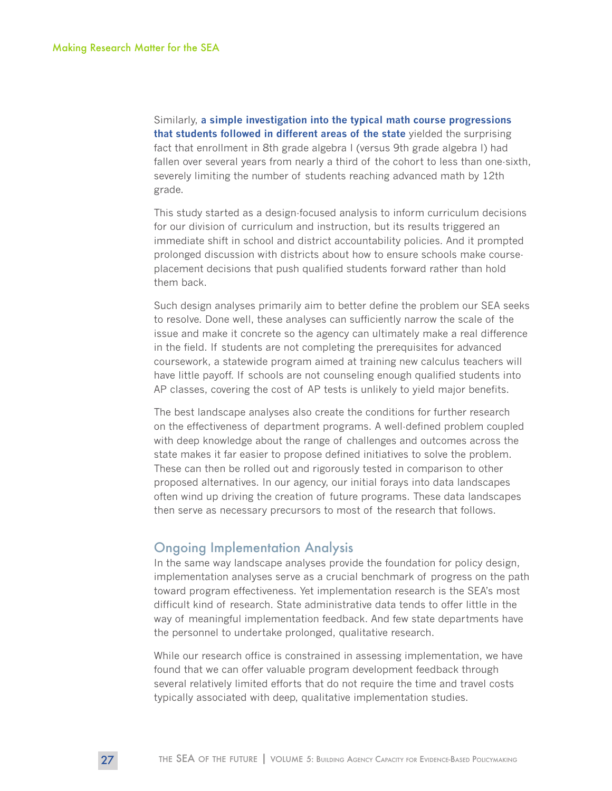Similarly, **[a simple investigation into the typical math course progressions](https://tn.gov/assets/entities/education/attachments/rpt_Course_Placement_8th_grade_algebra.pdf)  [that students followed in different areas of the state](https://tn.gov/assets/entities/education/attachments/rpt_Course_Placement_8th_grade_algebra.pdf)** yielded the surprising fact that enrollment in 8th grade algebra I (versus 9th grade algebra I) had fallen over several years from nearly a third of the cohort to less than one-sixth, severely limiting the number of students reaching advanced math by 12th grade.

This study started as a design-focused analysis to inform curriculum decisions for our division of curriculum and instruction, but its results triggered an immediate shift in school and district accountability policies. And it prompted prolonged discussion with districts about how to ensure schools make courseplacement decisions that push qualified students forward rather than hold them back.

Such design analyses primarily aim to better define the problem our SEA seeks to resolve. Done well, these analyses can sufficiently narrow the scale of the issue and make it concrete so the agency can ultimately make a real difference in the field. If students are not completing the prerequisites for advanced coursework, a statewide program aimed at training new calculus teachers will have little payoff. If schools are not counseling enough qualified students into AP classes, covering the cost of AP tests is unlikely to yield major benefits.

The best landscape analyses also create the conditions for further research on the effectiveness of department programs. A well-defined problem coupled with deep knowledge about the range of challenges and outcomes across the state makes it far easier to propose defined initiatives to solve the problem. These can then be rolled out and rigorously tested in comparison to other proposed alternatives. In our agency, our initial forays into data landscapes often wind up driving the creation of future programs. These data landscapes then serve as necessary precursors to most of the research that follows.

#### Ongoing Implementation Analysis

In the same way landscape analyses provide the foundation for policy design, implementation analyses serve as a crucial benchmark of progress on the path toward program effectiveness. Yet implementation research is the SEA's most difficult kind of research. State administrative data tends to offer little in the way of meaningful implementation feedback. And few state departments have the personnel to undertake prolonged, qualitative research.

While our research office is constrained in assessing implementation, we have found that we can offer valuable program development feedback through several relatively limited efforts that do not require the time and travel costs typically associated with deep, qualitative implementation studies.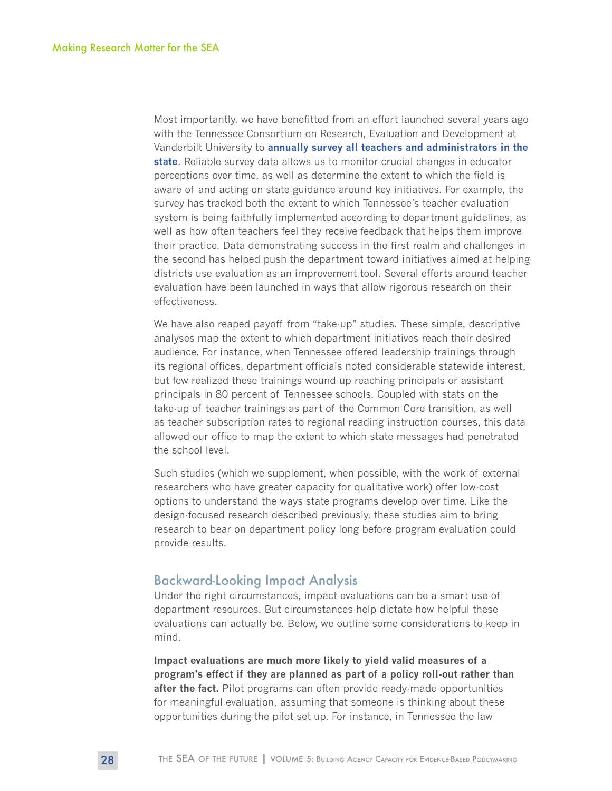Most importantly, we have benefitted from an effort launched several years ago with the Tennessee Consortium on Research, Evaluation and Development at Vanderbilt University to **[annually survey all teachers and administrators in the](http://www.tnconsortium.org/projects-publications/first-to-top-survey/index.aspx)  [state](http://www.tnconsortium.org/projects-publications/first-to-top-survey/index.aspx)**. Reliable survey data allows us to monitor crucial changes in educator perceptions over time, as well as determine the extent to which the field is aware of and acting on state guidance around key initiatives. For example, the survey has tracked both the extent to which Tennessee's teacher evaluation system is being faithfully implemented according to department guidelines, as well as how often teachers feel they receive feedback that helps them improve their practice. Data demonstrating success in the first realm and challenges in the second has helped push the department toward initiatives aimed at helping districts use evaluation as an improvement tool. Several efforts around teacher evaluation have been launched in ways that allow rigorous research on their effectiveness.

We have also reaped payoff from "take-up" studies. These simple, descriptive analyses map the extent to which department initiatives reach their desired audience. For instance, when Tennessee offered leadership trainings through its regional offices, department officials noted considerable statewide interest, but few realized these trainings wound up reaching principals or assistant principals in 80 percent of Tennessee schools. Coupled with stats on the take-up of teacher trainings as part of the Common Core transition, as well as teacher subscription rates to regional reading instruction courses, this data allowed our office to map the extent to which state messages had penetrated the school level.

Such studies (which we supplement, when possible, with the work of external researchers who have greater capacity for qualitative work) offer low-cost options to understand the ways state programs develop over time. Like the design-focused research described previously, these studies aim to bring research to bear on department policy long before program evaluation could provide results.

#### Backward-Looking Impact Analysis

Under the right circumstances, impact evaluations can be a smart use of department resources. But circumstances help dictate how helpful these evaluations can actually be. Below, we outline some considerations to keep in mind.

**Impact evaluations are much more likely to yield valid measures of a program's effect if they are planned as part of a policy roll-out rather than after the fact.** Pilot programs can often provide ready-made opportunities for meaningful evaluation, assuming that someone is thinking about these opportunities during the pilot set up. For instance, in Tennessee the law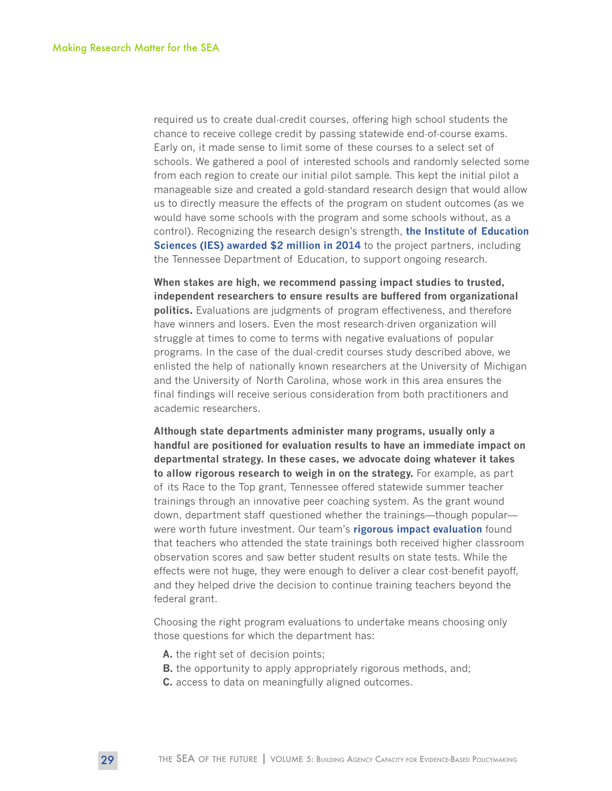required us to create dual-credit courses, offering high school students the chance to receive college credit by passing statewide end-of-course exams. Early on, it made sense to limit some of these courses to a select set of schools. We gathered a pool of interested schools and randomly selected some from each region to create our initial pilot sample. This kept the initial pilot a manageable size and created a gold-standard research design that would allow us to directly measure the effects of the program on student outcomes (as we would have some schools with the program and some schools without, as a control). Recognizing the research design's strength, **[the Institute of Education](http://ies.ed.gov/funding/grantsearch/details.asp?ID=1473)  [Sciences \(IES\) awarded \\$2 million in 2014](http://ies.ed.gov/funding/grantsearch/details.asp?ID=1473)** to the project partners, including the Tennessee Department of Education, to support ongoing research.

**When stakes are high, we recommend passing impact studies to trusted, independent researchers to ensure results are buffered from organizational politics.** Evaluations are judgments of program effectiveness, and therefore have winners and losers. Even the most research-driven organization will struggle at times to come to terms with negative evaluations of popular programs. In the case of the dual-credit courses study described above, we enlisted the help of nationally known researchers at the University of Michigan and the University of North Carolina, whose work in this area ensures the final findings will receive serious consideration from both practitioners and academic researchers.

**Although state departments administer many programs, usually only a handful are positioned for evaluation results to have an immediate impact on departmental strategy. In these cases, we advocate doing whatever it takes to allow rigorous research to weigh in on the strategy.** For example, as part of its Race to the Top grant, Tennessee offered statewide summer teacher trainings through an innovative peer coaching system. As the grant wound down, department staff questioned whether the trainings—though popular were worth future investment. Our team's **[rigorous impact evaluation](https://tn.gov/assets/entities/education/attachments/rpt_impact_of_TNCore_Training.pdf)** found that teachers who attended the state trainings both received higher classroom observation scores and saw better student results on state tests. While the effects were not huge, they were enough to deliver a clear cost-benefit payoff, and they helped drive the decision to continue training teachers beyond the federal grant.

Choosing the right program evaluations to undertake means choosing only those questions for which the department has:

- **A.** the right set of decision points;
- **B.** the opportunity to apply appropriately rigorous methods, and;
- **C.** access to data on meaningfully aligned outcomes.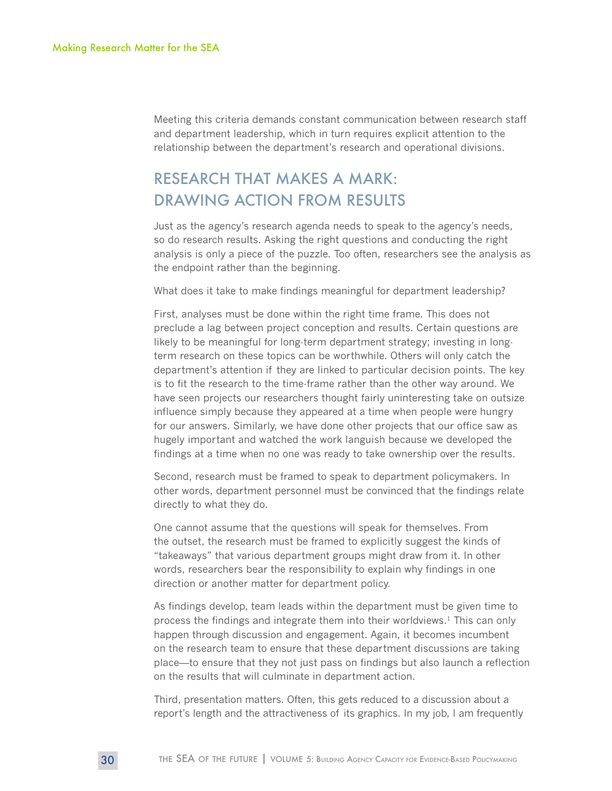Meeting this criteria demands constant communication between research staff and department leadership, which in turn requires explicit attention to the relationship between the department's research and operational divisions.

## RESEARCH THAT MAKES A MARK: DRAWING ACTION FROM RESULTS

Just as the agency's research agenda needs to speak to the agency's needs, so do research results. Asking the right questions and conducting the right analysis is only a piece of the puzzle. Too often, researchers see the analysis as the endpoint rather than the beginning.

What does it take to make findings meaningful for department leadership?

First, analyses must be done within the right time frame. This does not preclude a lag between project conception and results. Certain questions are likely to be meaningful for long-term department strategy; investing in longterm research on these topics can be worthwhile. Others will only catch the department's attention if they are linked to particular decision points. The key is to fit the research to the time-frame rather than the other way around. We have seen projects our researchers thought fairly uninteresting take on outsize influence simply because they appeared at a time when people were hungry for our answers. Similarly, we have done other projects that our office saw as hugely important and watched the work languish because we developed the findings at a time when no one was ready to take ownership over the results.

Second, research must be framed to speak to department policymakers. In other words, department personnel must be convinced that the findings relate directly to what they do.

One cannot assume that the questions will speak for themselves. From the outset, the research must be framed to explicitly suggest the kinds of "takeaways" that various department groups might draw from it. In other words, researchers bear the responsibility to explain why findings in one direction or another matter for department policy.

As findings develop, team leads within the department must be given time to process the findings and integrate them into their worldviews.<sup>1</sup> This can only happen through discussion and engagement. Again, it becomes incumbent on the research team to ensure that these department discussions are taking place—to ensure that they not just pass on findings but also launch a reflection on the results that will culminate in department action.

Third, presentation matters. Often, this gets reduced to a discussion about a report's length and the attractiveness of its graphics. In my job, I am frequently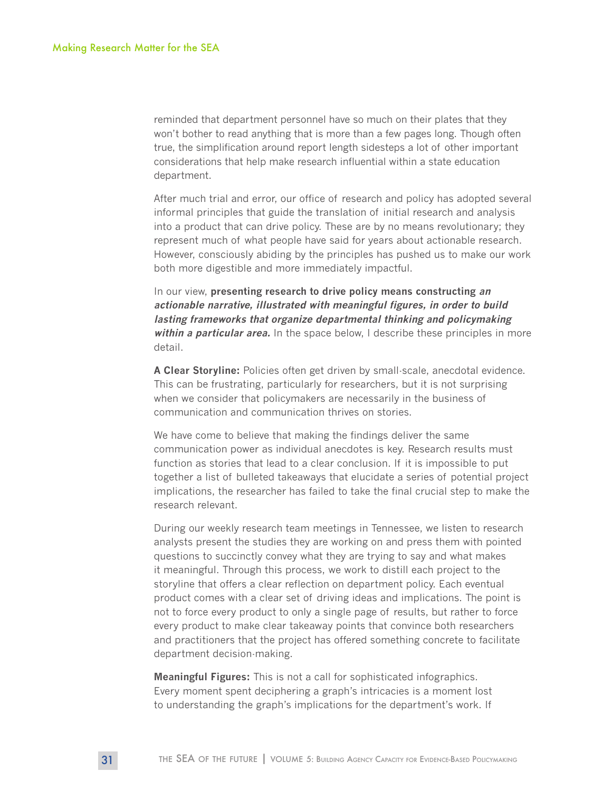reminded that department personnel have so much on their plates that they won't bother to read anything that is more than a few pages long. Though often true, the simplification around report length sidesteps a lot of other important considerations that help make research influential within a state education department.

After much trial and error, our office of research and policy has adopted several informal principles that guide the translation of initial research and analysis into a product that can drive policy. These are by no means revolutionary; they represent much of what people have said for years about actionable research. However, consciously abiding by the principles has pushed us to make our work both more digestible and more immediately impactful.

In our view, **presenting research to drive policy means constructing an actionable narrative, illustrated with meaningful figures, in order to build lasting frameworks that organize departmental thinking and policymaking within a particular area.** In the space below, I describe these principles in more detail.

**A Clear Storyline:** Policies often get driven by small-scale, anecdotal evidence. This can be frustrating, particularly for researchers, but it is not surprising when we consider that policymakers are necessarily in the business of communication and communication thrives on stories.

We have come to believe that making the findings deliver the same communication power as individual anecdotes is key. Research results must function as stories that lead to a clear conclusion. If it is impossible to put together a list of bulleted takeaways that elucidate a series of potential project implications, the researcher has failed to take the final crucial step to make the research relevant.

During our weekly research team meetings in Tennessee, we listen to research analysts present the studies they are working on and press them with pointed questions to succinctly convey what they are trying to say and what makes it meaningful. Through this process, we work to distill each project to the storyline that offers a clear reflection on department policy. Each eventual product comes with a clear set of driving ideas and implications. The point is not to force every product to only a single page of results, but rather to force every product to make clear takeaway points that convince both researchers and practitioners that the project has offered something concrete to facilitate department decision-making.

**Meaningful Figures:** This is not a call for sophisticated infographics. Every moment spent deciphering a graph's intricacies is a moment lost to understanding the graph's implications for the department's work. If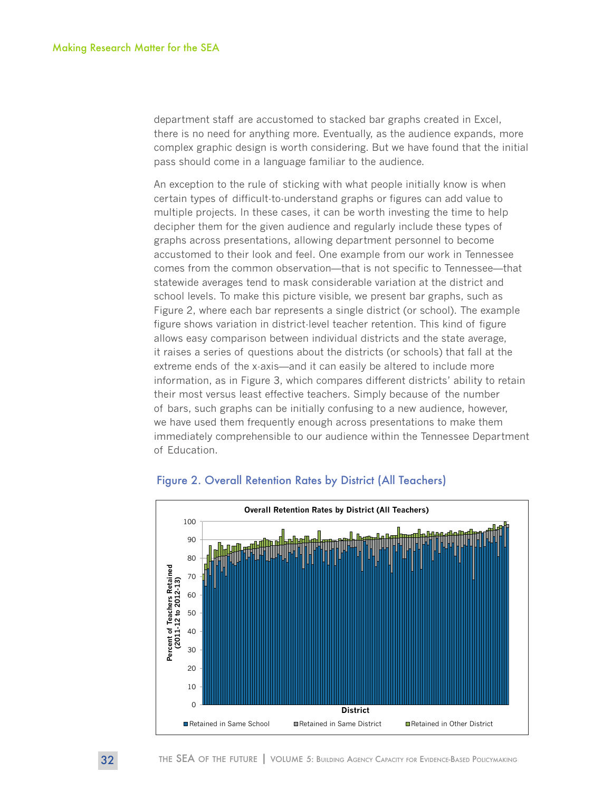department staff are accustomed to stacked bar graphs created in Excel, there is no need for anything more. Eventually, as the audience expands, more complex graphic design is worth considering. But we have found that the initial pass should come in a language familiar to the audience.

An exception to the rule of sticking with what people initially know is when certain types of difficult-to-understand graphs or figures can add value to multiple projects. In these cases, it can be worth investing the time to help decipher them for the given audience and regularly include these types of graphs across presentations, allowing department personnel to become accustomed to their look and feel. One example from our work in Tennessee comes from the common observation—that is not specific to Tennessee—that statewide averages tend to mask considerable variation at the district and school levels. To make this picture visible, we present bar graphs, such as Figure 2, where each bar represents a single district (or school). The example figure shows variation in district-level teacher retention. This kind of figure allows easy comparison between individual districts and the state average, it raises a series of questions about the districts (or schools) that fall at the extreme ends of the x-axis—and it can easily be altered to include more information, as in Figure 3, which compares different districts' ability to retain their most versus least effective teachers. Simply because of the number of bars, such graphs can be initially confusing to a new audience, however, we have used them frequently enough across presentations to make them immediately comprehensible to our audience within the Tennessee Department of Education.



#### Figure 2. Overall Retention Rates by District (All Teachers)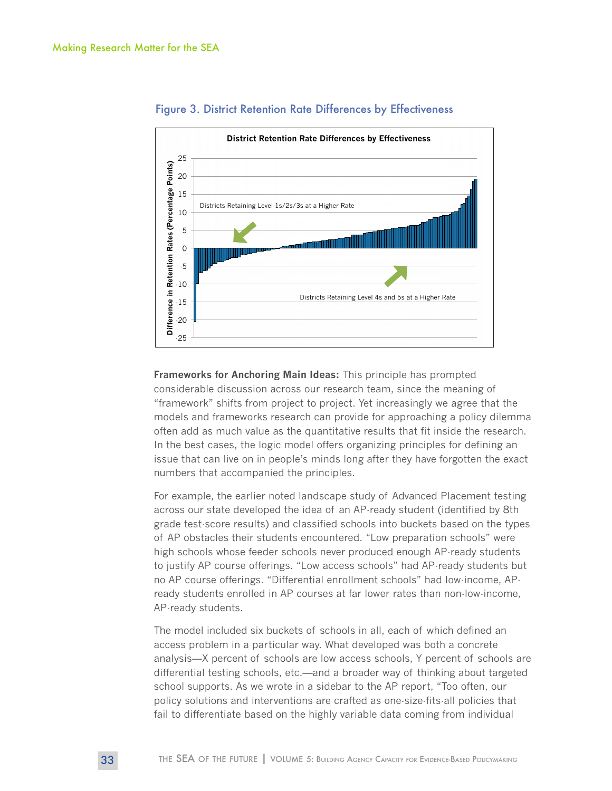

#### Figure 3. District Retention Rate Differences by Effectiveness

**Frameworks for Anchoring Main Ideas:** This principle has prompted considerable discussion across our research team, since the meaning of "framework" shifts from project to project. Yet increasingly we agree that the models and frameworks research can provide for approaching a policy dilemma often add as much value as the quantitative results that fit inside the research. In the best cases, the logic model offers organizing principles for defining an issue that can live on in people's minds long after they have forgotten the exact numbers that accompanied the principles.

For example, the earlier noted landscape study of Advanced Placement testing across our state developed the idea of an AP-ready student (identified by 8th grade test-score results) and classified schools into buckets based on the types of AP obstacles their students encountered. "Low preparation schools" were high schools whose feeder schools never produced enough AP-ready students to justify AP course offerings. "Low access schools" had AP-ready students but no AP course offerings. "Differential enrollment schools" had low-income, APready students enrolled in AP courses at far lower rates than non-low-income, AP-ready students.

The model included six buckets of schools in all, each of which defined an access problem in a particular way. What developed was both a concrete analysis—X percent of schools are low access schools, Y percent of schools are differential testing schools, etc.—and a broader way of thinking about targeted school supports. As we wrote in a sidebar to the AP report, "Too often, our policy solutions and interventions are crafted as one-size-fits-all policies that fail to differentiate based on the highly variable data coming from individual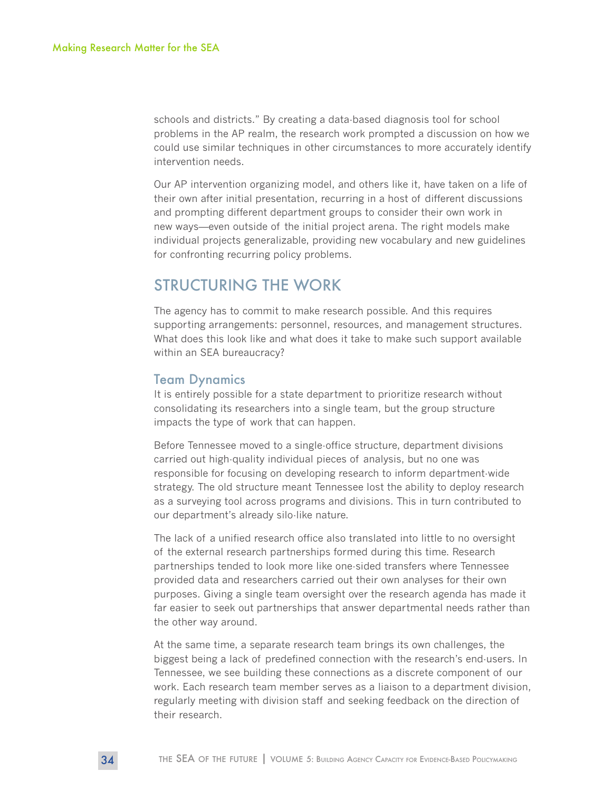schools and districts." By creating a data-based diagnosis tool for school problems in the AP realm, the research work prompted a discussion on how we could use similar techniques in other circumstances to more accurately identify intervention needs.

Our AP intervention organizing model, and others like it, have taken on a life of their own after initial presentation, recurring in a host of different discussions and prompting different department groups to consider their own work in new ways—even outside of the initial project arena. The right models make individual projects generalizable, providing new vocabulary and new guidelines for confronting recurring policy problems.

## STRUCTURING THE WORK

The agency has to commit to make research possible. And this requires supporting arrangements: personnel, resources, and management structures. What does this look like and what does it take to make such support available within an SEA bureaucracy?

#### Team Dynamics

It is entirely possible for a state department to prioritize research without consolidating its researchers into a single team, but the group structure impacts the type of work that can happen.

Before Tennessee moved to a single-office structure, department divisions carried out high-quality individual pieces of analysis, but no one was responsible for focusing on developing research to inform department-wide strategy. The old structure meant Tennessee lost the ability to deploy research as a surveying tool across programs and divisions. This in turn contributed to our department's already silo-like nature.

The lack of a unified research office also translated into little to no oversight of the external research partnerships formed during this time. Research partnerships tended to look more like one-sided transfers where Tennessee provided data and researchers carried out their own analyses for their own purposes. Giving a single team oversight over the research agenda has made it far easier to seek out partnerships that answer departmental needs rather than the other way around.

At the same time, a separate research team brings its own challenges, the biggest being a lack of predefined connection with the research's end-users. In Tennessee, we see building these connections as a discrete component of our work. Each research team member serves as a liaison to a department division, regularly meeting with division staff and seeking feedback on the direction of their research.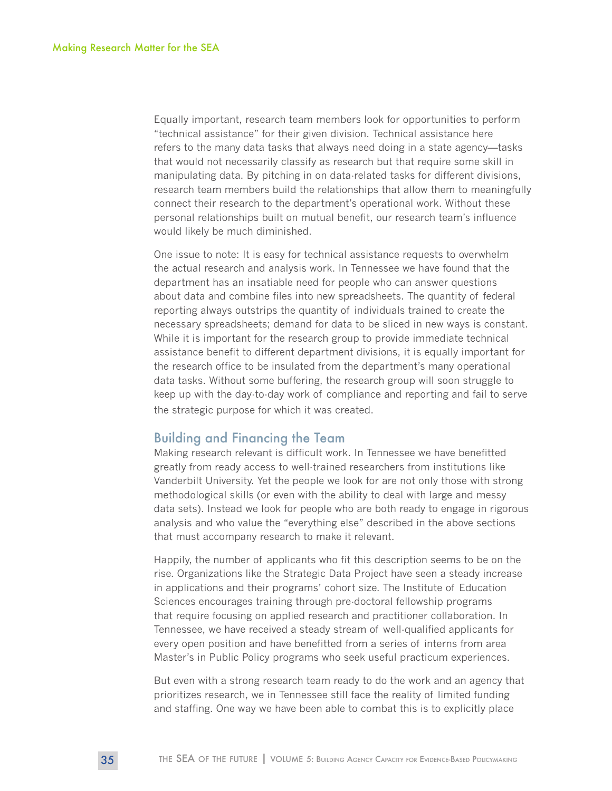Equally important, research team members look for opportunities to perform "technical assistance" for their given division. Technical assistance here refers to the many data tasks that always need doing in a state agency—tasks that would not necessarily classify as research but that require some skill in manipulating data. By pitching in on data-related tasks for different divisions, research team members build the relationships that allow them to meaningfully connect their research to the department's operational work. Without these personal relationships built on mutual benefit, our research team's influence would likely be much diminished.

One issue to note: It is easy for technical assistance requests to overwhelm the actual research and analysis work. In Tennessee we have found that the department has an insatiable need for people who can answer questions about data and combine files into new spreadsheets. The quantity of federal reporting always outstrips the quantity of individuals trained to create the necessary spreadsheets; demand for data to be sliced in new ways is constant. While it is important for the research group to provide immediate technical assistance benefit to different department divisions, it is equally important for the research office to be insulated from the department's many operational data tasks. Without some buffering, the research group will soon struggle to keep up with the day-to-day work of compliance and reporting and fail to serve the strategic purpose for which it was created.

#### Building and Financing the Team

Making research relevant is difficult work. In Tennessee we have benefitted greatly from ready access to well-trained researchers from institutions like Vanderbilt University. Yet the people we look for are not only those with strong methodological skills (or even with the ability to deal with large and messy data sets). Instead we look for people who are both ready to engage in rigorous analysis and who value the "everything else" described in the above sections that must accompany research to make it relevant.

Happily, the number of applicants who fit this description seems to be on the rise. Organizations like the Strategic Data Project have seen a steady increase in applications and their programs' cohort size. The Institute of Education Sciences encourages training through pre-doctoral fellowship programs that require focusing on applied research and practitioner collaboration. In Tennessee, we have received a steady stream of well-qualified applicants for every open position and have benefitted from a series of interns from area Master's in Public Policy programs who seek useful practicum experiences.

But even with a strong research team ready to do the work and an agency that prioritizes research, we in Tennessee still face the reality of limited funding and staffing. One way we have been able to combat this is to explicitly place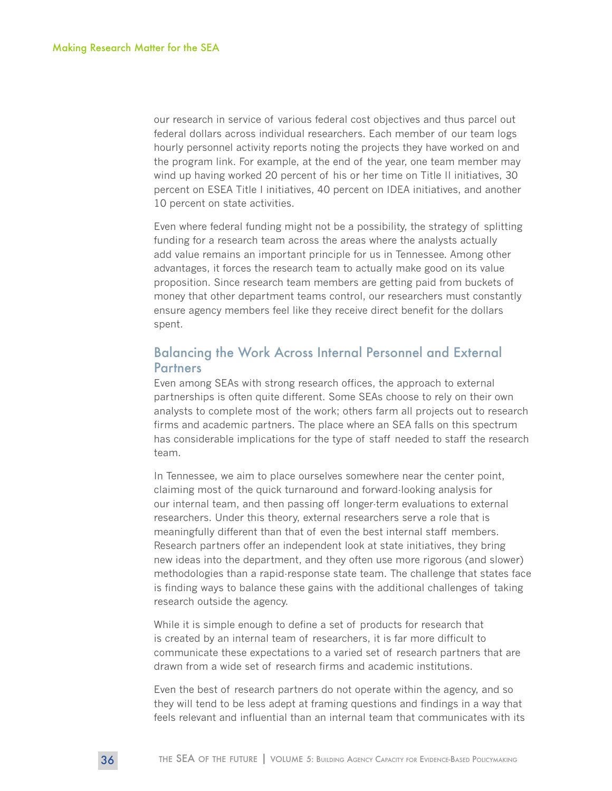our research in service of various federal cost objectives and thus parcel out federal dollars across individual researchers. Each member of our team logs hourly personnel activity reports noting the projects they have worked on and the program link. For example, at the end of the year, one team member may wind up having worked 20 percent of his or her time on Title II initiatives, 30 percent on ESEA Title I initiatives, 40 percent on IDEA initiatives, and another 10 percent on state activities.

Even where federal funding might not be a possibility, the strategy of splitting funding for a research team across the areas where the analysts actually add value remains an important principle for us in Tennessee. Among other advantages, it forces the research team to actually make good on its value proposition. Since research team members are getting paid from buckets of money that other department teams control, our researchers must constantly ensure agency members feel like they receive direct benefit for the dollars spent.

#### Balancing the Work Across Internal Personnel and External **Partners**

Even among SEAs with strong research offices, the approach to external partnerships is often quite different. Some SEAs choose to rely on their own analysts to complete most of the work; others farm all projects out to research firms and academic partners. The place where an SEA falls on this spectrum has considerable implications for the type of staff needed to staff the research team.

In Tennessee, we aim to place ourselves somewhere near the center point, claiming most of the quick turnaround and forward-looking analysis for our internal team, and then passing off longer-term evaluations to external researchers. Under this theory, external researchers serve a role that is meaningfully different than that of even the best internal staff members. Research partners offer an independent look at state initiatives, they bring new ideas into the department, and they often use more rigorous (and slower) methodologies than a rapid-response state team. The challenge that states face is finding ways to balance these gains with the additional challenges of taking research outside the agency.

While it is simple enough to define a set of products for research that is created by an internal team of researchers, it is far more difficult to communicate these expectations to a varied set of research partners that are drawn from a wide set of research firms and academic institutions.

Even the best of research partners do not operate within the agency, and so they will tend to be less adept at framing questions and findings in a way that feels relevant and influential than an internal team that communicates with its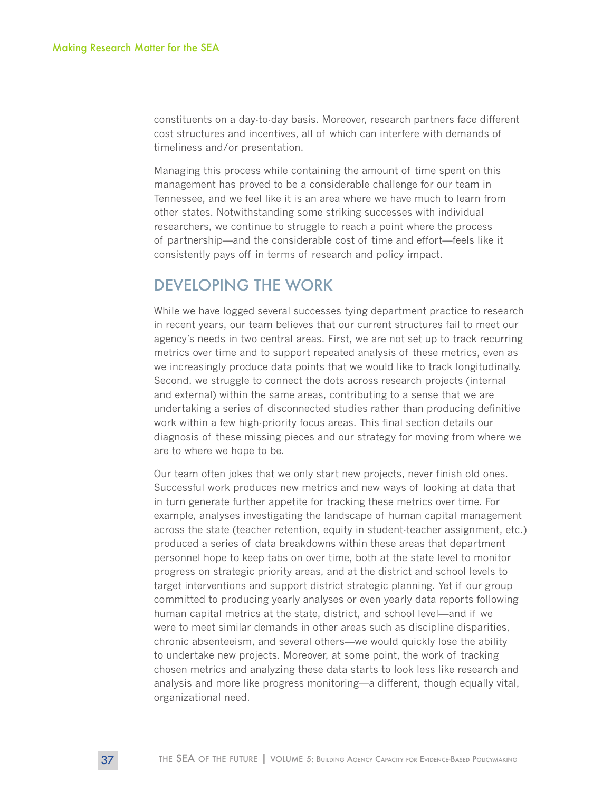constituents on a day-to-day basis. Moreover, research partners face different cost structures and incentives, all of which can interfere with demands of timeliness and/or presentation.

Managing this process while containing the amount of time spent on this management has proved to be a considerable challenge for our team in Tennessee, and we feel like it is an area where we have much to learn from other states. Notwithstanding some striking successes with individual researchers, we continue to struggle to reach a point where the process of partnership—and the considerable cost of time and effort—feels like it consistently pays off in terms of research and policy impact.

## DEVELOPING THE WORK

While we have logged several successes tying department practice to research in recent years, our team believes that our current structures fail to meet our agency's needs in two central areas. First, we are not set up to track recurring metrics over time and to support repeated analysis of these metrics, even as we increasingly produce data points that we would like to track longitudinally. Second, we struggle to connect the dots across research projects (internal and external) within the same areas, contributing to a sense that we are undertaking a series of disconnected studies rather than producing definitive work within a few high-priority focus areas. This final section details our diagnosis of these missing pieces and our strategy for moving from where we are to where we hope to be.

Our team often jokes that we only start new projects, never finish old ones. Successful work produces new metrics and new ways of looking at data that in turn generate further appetite for tracking these metrics over time. For example, analyses investigating the landscape of human capital management across the state (teacher retention, equity in student-teacher assignment, etc.) produced a series of data breakdowns within these areas that department personnel hope to keep tabs on over time, both at the state level to monitor progress on strategic priority areas, and at the district and school levels to target interventions and support district strategic planning. Yet if our group committed to producing yearly analyses or even yearly data reports following human capital metrics at the state, district, and school level—and if we were to meet similar demands in other areas such as discipline disparities, chronic absenteeism, and several others—we would quickly lose the ability to undertake new projects. Moreover, at some point, the work of tracking chosen metrics and analyzing these data starts to look less like research and analysis and more like progress monitoring—a different, though equally vital, organizational need.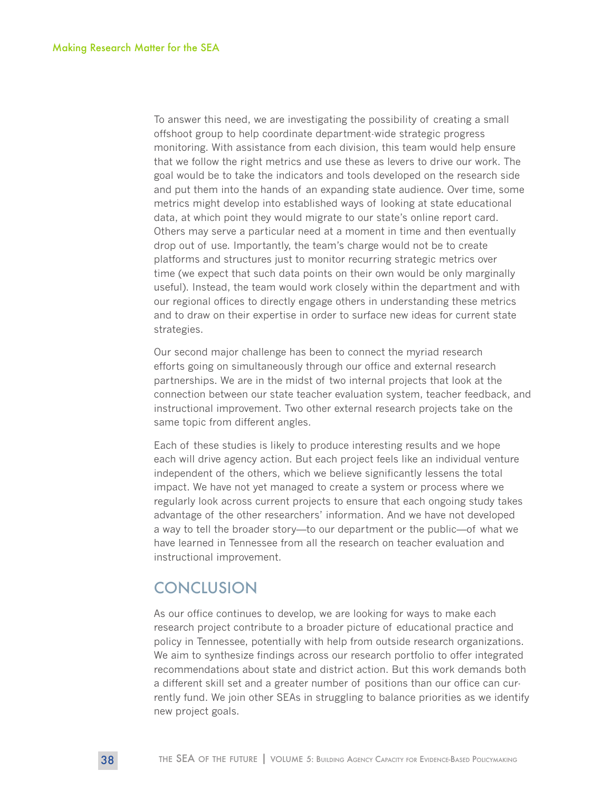To answer this need, we are investigating the possibility of creating a small offshoot group to help coordinate department-wide strategic progress monitoring. With assistance from each division, this team would help ensure that we follow the right metrics and use these as levers to drive our work. The goal would be to take the indicators and tools developed on the research side and put them into the hands of an expanding state audience. Over time, some metrics might develop into established ways of looking at state educational data, at which point they would migrate to our state's online report card. Others may serve a particular need at a moment in time and then eventually drop out of use. Importantly, the team's charge would not be to create platforms and structures just to monitor recurring strategic metrics over time (we expect that such data points on their own would be only marginally useful). Instead, the team would work closely within the department and with our regional offices to directly engage others in understanding these metrics and to draw on their expertise in order to surface new ideas for current state strategies.

Our second major challenge has been to connect the myriad research efforts going on simultaneously through our office and external research partnerships. We are in the midst of two internal projects that look at the connection between our state teacher evaluation system, teacher feedback, and instructional improvement. Two other external research projects take on the same topic from different angles.

Each of these studies is likely to produce interesting results and we hope each will drive agency action. But each project feels like an individual venture independent of the others, which we believe significantly lessens the total impact. We have not yet managed to create a system or process where we regularly look across current projects to ensure that each ongoing study takes advantage of the other researchers' information. And we have not developed a way to tell the broader story—to our department or the public—of what we have learned in Tennessee from all the research on teacher evaluation and instructional improvement.

## **CONCLUSION**

As our office continues to develop, we are looking for ways to make each research project contribute to a broader picture of educational practice and policy in Tennessee, potentially with help from outside research organizations. We aim to synthesize findings across our research portfolio to offer integrated recommendations about state and district action. But this work demands both a different skill set and a greater number of positions than our office can currently fund. We join other SEAs in struggling to balance priorities as we identify new project goals.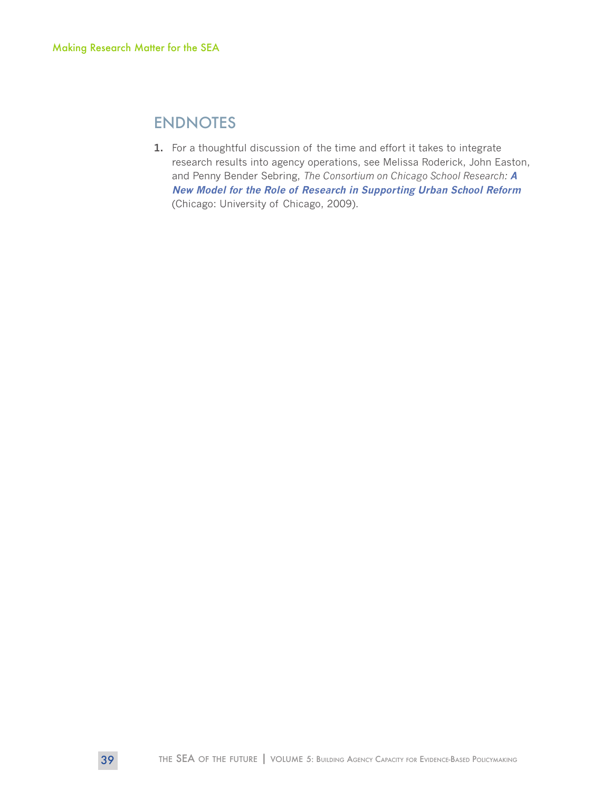## ENDNOTES

**1.** For a thoughtful discussion of the time and effort it takes to integrate research results into agency operations, see Melissa Roderick, John Easton, and Penny Bender Sebring, *The Consortium on Chicago School Research:* **[A](https://ccsr.uchicago.edu/publications/ccsr-new-model-role-research-supporting-urban-school-reform)  [New Model for the Role of Research in Supporting Urban School Reform](https://ccsr.uchicago.edu/publications/ccsr-new-model-role-research-supporting-urban-school-reform)** (Chicago: University of Chicago, 2009).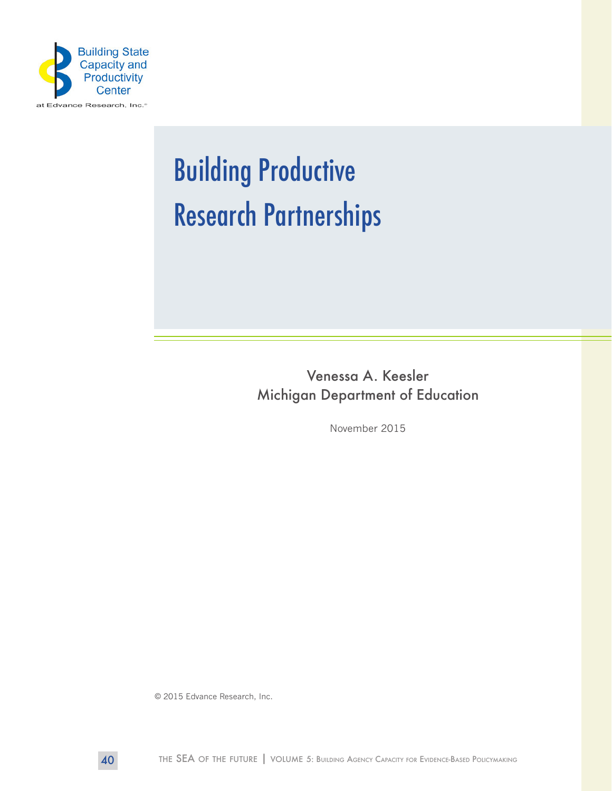

# Building Productive Research Partnerships

Venessa A. Keesler Michigan Department of Education

November 2015

© 2015 Edvance Research, Inc.

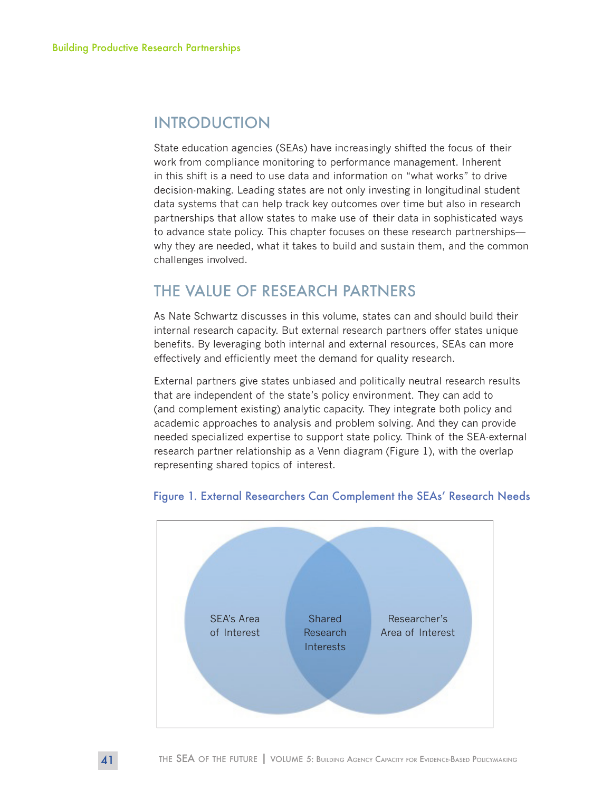## INTRODUCTION

State education agencies (SEAs) have increasingly shifted the focus of their work from compliance monitoring to performance management. Inherent in this shift is a need to use data and information on "what works" to drive decision-making. Leading states are not only investing in longitudinal student data systems that can help track key outcomes over time but also in research partnerships that allow states to make use of their data in sophisticated ways to advance state policy. This chapter focuses on these research partnerships why they are needed, what it takes to build and sustain them, and the common challenges involved.

## THE VALUE OF RESEARCH PARTNERS

As Nate Schwartz discusses in this volume, states can and should build their internal research capacity. But external research partners offer states unique benefits. By leveraging both internal and external resources, SEAs can more effectively and efficiently meet the demand for quality research.

External partners give states unbiased and politically neutral research results that are independent of the state's policy environment. They can add to (and complement existing) analytic capacity. They integrate both policy and academic approaches to analysis and problem solving. And they can provide needed specialized expertise to support state policy. Think of the SEA-external research partner relationship as a Venn diagram (Figure 1), with the overlap representing shared topics of interest.



#### Figure 1. External Researchers Can Complement the SEAs' Research Needs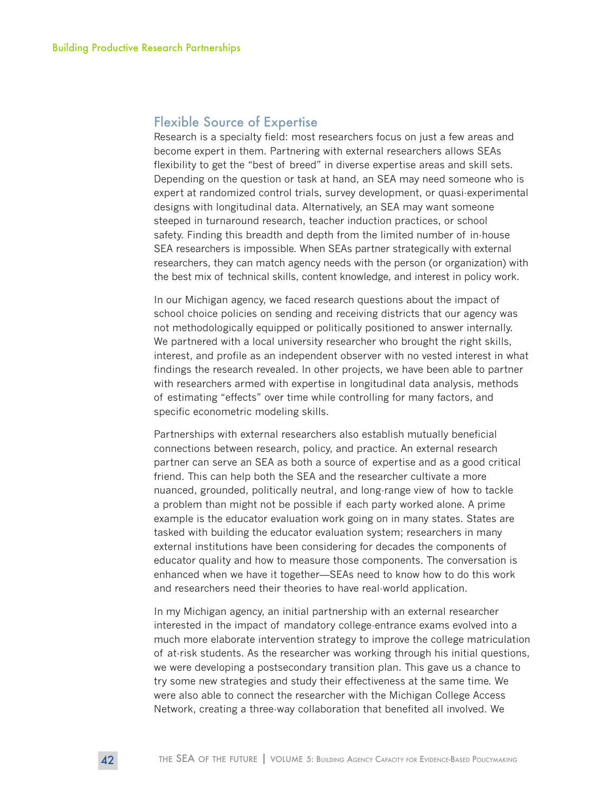#### Flexible Source of Expertise

Research is a specialty field: most researchers focus on just a few areas and become expert in them. Partnering with external researchers allows SEAs flexibility to get the "best of breed" in diverse expertise areas and skill sets. Depending on the question or task at hand, an SEA may need someone who is expert at randomized control trials, survey development, or quasi-experimental designs with longitudinal data. Alternatively, an SEA may want someone steeped in turnaround research, teacher induction practices, or school safety. Finding this breadth and depth from the limited number of in-house SEA researchers is impossible. When SEAs partner strategically with external researchers, they can match agency needs with the person (or organization) with the best mix of technical skills, content knowledge, and interest in policy work.

In our Michigan agency, we faced research questions about the impact of school choice policies on sending and receiving districts that our agency was not methodologically equipped or politically positioned to answer internally. We partnered with a local university researcher who brought the right skills, interest, and profile as an independent observer with no vested interest in what findings the research revealed. In other projects, we have been able to partner with researchers armed with expertise in longitudinal data analysis, methods of estimating "effects" over time while controlling for many factors, and specific econometric modeling skills.

Partnerships with external researchers also establish mutually beneficial connections between research, policy, and practice. An external research partner can serve an SEA as both a source of expertise and as a good critical friend. This can help both the SEA and the researcher cultivate a more nuanced, grounded, politically neutral, and long-range view of how to tackle a problem than might not be possible if each party worked alone. A prime example is the educator evaluation work going on in many states. States are tasked with building the educator evaluation system; researchers in many external institutions have been considering for decades the components of educator quality and how to measure those components. The conversation is enhanced when we have it together—SEAs need to know how to do this work and researchers need their theories to have real-world application.

In my Michigan agency, an initial partnership with an external researcher interested in the impact of mandatory college-entrance exams evolved into a much more elaborate intervention strategy to improve the college matriculation of at-risk students. As the researcher was working through his initial questions, we were developing a postsecondary transition plan. This gave us a chance to try some new strategies and study their effectiveness at the same time. We were also able to connect the researcher with the Michigan College Access Network, creating a three-way collaboration that benefited all involved. We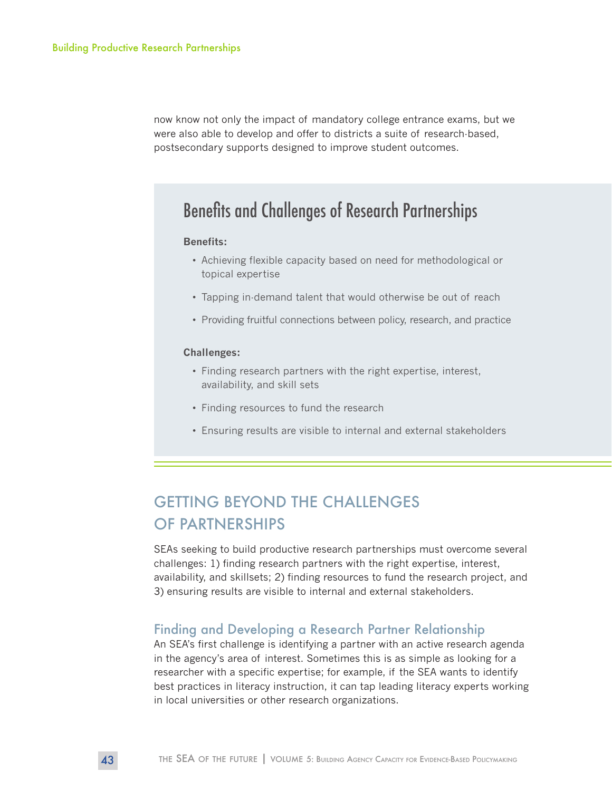now know not only the impact of mandatory college entrance exams, but we were also able to develop and offer to districts a suite of research-based, postsecondary supports designed to improve student outcomes.

## Benefits and Challenges of Research Partnerships

#### **Benefits:**

- Achieving flexible capacity based on need for methodological or topical expertise
- Tapping in-demand talent that would otherwise be out of reach
- Providing fruitful connections between policy, research, and practice

#### **Challenges:**

- Finding research partners with the right expertise, interest, availability, and skill sets
- Finding resources to fund the research
- Ensuring results are visible to internal and external stakeholders

## GETTING BEYOND THE CHALLENGES OF PARTNERSHIPS

SEAs seeking to build productive research partnerships must overcome several challenges: 1) finding research partners with the right expertise, interest, availability, and skillsets; 2) finding resources to fund the research project, and 3) ensuring results are visible to internal and external stakeholders.

#### Finding and Developing a Research Partner Relationship

An SEA's first challenge is identifying a partner with an active research agenda in the agency's area of interest. Sometimes this is as simple as looking for a researcher with a specific expertise; for example, if the SEA wants to identify best practices in literacy instruction, it can tap leading literacy experts working in local universities or other research organizations.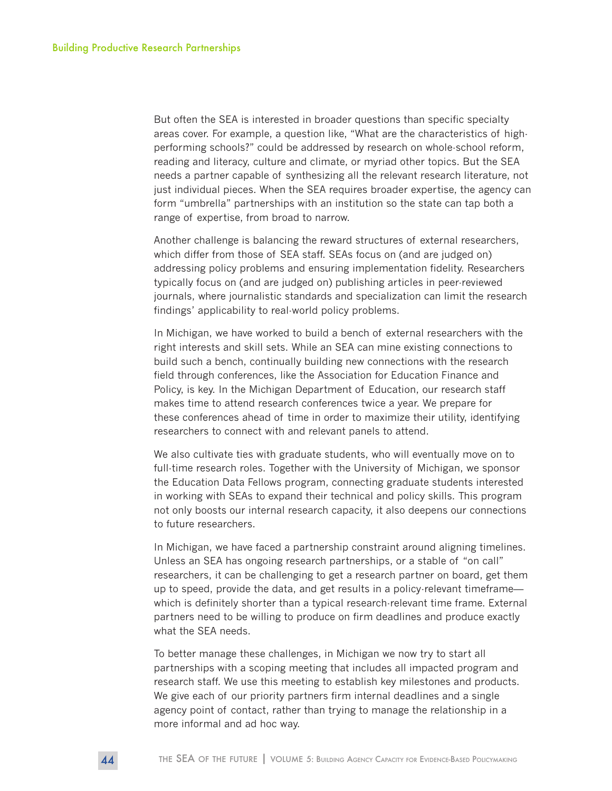But often the SEA is interested in broader questions than specific specialty areas cover. For example, a question like, "What are the characteristics of highperforming schools?" could be addressed by research on whole-school reform, reading and literacy, culture and climate, or myriad other topics. But the SEA needs a partner capable of synthesizing all the relevant research literature, not just individual pieces. When the SEA requires broader expertise, the agency can form "umbrella" partnerships with an institution so the state can tap both a range of expertise, from broad to narrow.

Another challenge is balancing the reward structures of external researchers, which differ from those of SEA staff. SEAs focus on (and are judged on) addressing policy problems and ensuring implementation fidelity. Researchers typically focus on (and are judged on) publishing articles in peer-reviewed journals, where journalistic standards and specialization can limit the research findings' applicability to real-world policy problems.

In Michigan, we have worked to build a bench of external researchers with the right interests and skill sets. While an SEA can mine existing connections to build such a bench, continually building new connections with the research field through conferences, like the Association for Education Finance and Policy, is key. In the Michigan Department of Education, our research staff makes time to attend research conferences twice a year. We prepare for these conferences ahead of time in order to maximize their utility, identifying researchers to connect with and relevant panels to attend.

We also cultivate ties with graduate students, who will eventually move on to full-time research roles. Together with the University of Michigan, we sponsor the Education Data Fellows program, connecting graduate students interested in working with SEAs to expand their technical and policy skills. This program not only boosts our internal research capacity, it also deepens our connections to future researchers.

In Michigan, we have faced a partnership constraint around aligning timelines. Unless an SEA has ongoing research partnerships, or a stable of "on call" researchers, it can be challenging to get a research partner on board, get them up to speed, provide the data, and get results in a policy-relevant timeframe which is definitely shorter than a typical research-relevant time frame. External partners need to be willing to produce on firm deadlines and produce exactly what the SEA needs.

To better manage these challenges, in Michigan we now try to start all partnerships with a scoping meeting that includes all impacted program and research staff. We use this meeting to establish key milestones and products. We give each of our priority partners firm internal deadlines and a single agency point of contact, rather than trying to manage the relationship in a more informal and ad hoc way.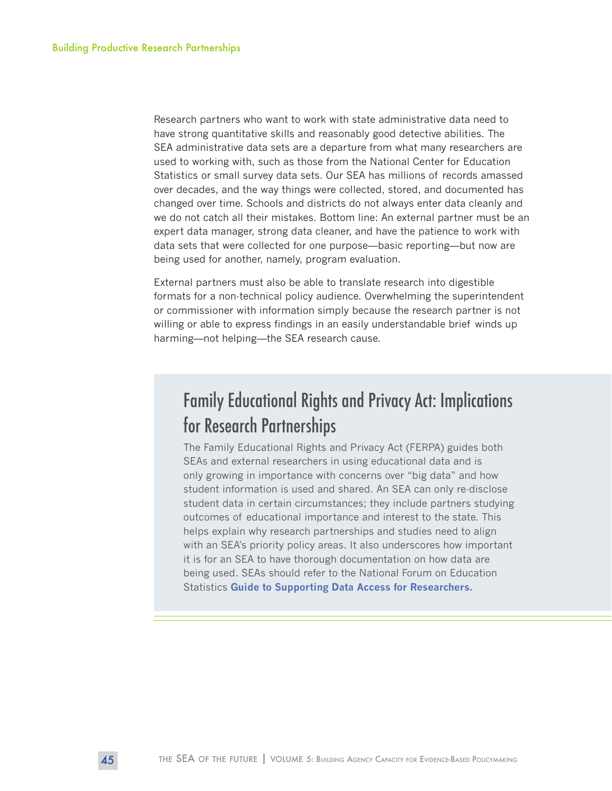Research partners who want to work with state administrative data need to have strong quantitative skills and reasonably good detective abilities. The SEA administrative data sets are a departure from what many researchers are used to working with, such as those from the National Center for Education Statistics or small survey data sets. Our SEA has millions of records amassed over decades, and the way things were collected, stored, and documented has changed over time. Schools and districts do not always enter data cleanly and we do not catch all their mistakes. Bottom line: An external partner must be an expert data manager, strong data cleaner, and have the patience to work with data sets that were collected for one purpose—basic reporting—but now are being used for another, namely, program evaluation.

External partners must also be able to translate research into digestible formats for a non-technical policy audience. Overwhelming the superintendent or commissioner with information simply because the research partner is not willing or able to express findings in an easily understandable brief winds up harming—not helping—the SEA research cause.

## Family Educational Rights and Privacy Act: Implications for Research Partnerships

The Family Educational Rights and Privacy Act (FERPA) guides both SEAs and external researchers in using educational data and is only growing in importance with concerns over "big data" and how student information is used and shared. An SEA can only re-disclose student data in certain circumstances; they include partners studying outcomes of educational importance and interest to the state. This helps explain why research partnerships and studies need to align with an SEA's priority policy areas. It also underscores how important it is for an SEA to have thorough documentation on how data are being used. SEAs should refer to the National Forum on Education Statistics **[Guide to Supporting Data Access for Researchers.](https://nces.ed.gov/pubs2012/2012809.pdf)**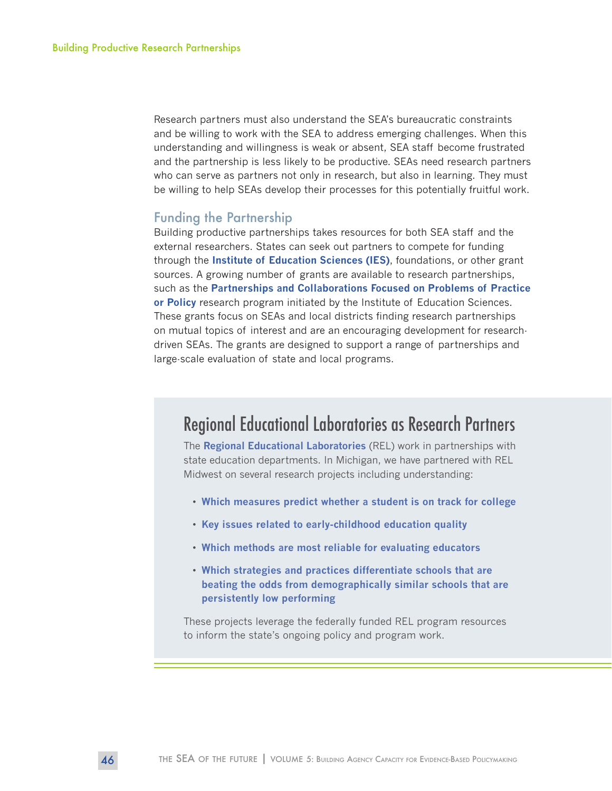Research partners must also understand the SEA's bureaucratic constraints and be willing to work with the SEA to address emerging challenges. When this understanding and willingness is weak or absent, SEA staff become frustrated and the partnership is less likely to be productive. SEAs need research partners who can serve as partners not only in research, but also in learning. They must be willing to help SEAs develop their processes for this potentially fruitful work.

#### Funding the Partnership

Building productive partnerships takes resources for both SEA staff and the external researchers. States can seek out partners to compete for funding through the **[Institute of Education Sciences \(IES\)](https://ies.ed.gov/)**, foundations, or other grant sources. A growing number of grants are available to research partnerships, such as the **[Partnerships and Collaborations Focused on Problems of Practice](https://ies.ed.gov/funding/ncer_rfas/partnerships_colab.asp)  [or Policy](https://ies.ed.gov/funding/ncer_rfas/partnerships_colab.asp)** research program initiated by the Institute of Education Sciences. These grants focus on SEAs and local districts finding research partnerships on mutual topics of interest and are an encouraging development for researchdriven SEAs. The grants are designed to support a range of partnerships and large-scale evaluation of state and local programs.

## Regional Educational Laboratories as Research Partners

The **[Regional Educational Laboratories](http://ies.ed.gov/ncee/edlabs/)** (REL) work in partnerships with state education departments. In Michigan, we have partnered with REL Midwest on several research projects including understanding:

- **[Which measures predict whether a student is on track for college](http://www.relmidwest.org/research-alliances/college-and-career-success-research-alliance)**
- **[Key issues related to early-childhood education quality](http://www.relmidwest.org/research-alliances/early-childhood-education-research-alliance)**
- **[Which methods are most reliable for evaluating educators](http://www.relmidwest.org/research-alliances/educator-effectiveness)**
- **[Which strategies and practices differentiate schools that are](http://www.relmidwest.org/sites/default/files/School Turnaround- Research Alliance Handout_1.pdf)  [beating the odds from demographically similar schools that are](http://www.relmidwest.org/sites/default/files/School Turnaround- Research Alliance Handout_1.pdf)  [persistently low performing](http://www.relmidwest.org/sites/default/files/School Turnaround- Research Alliance Handout_1.pdf)**

These projects leverage the federally funded REL program resources to inform the state's ongoing policy and program work.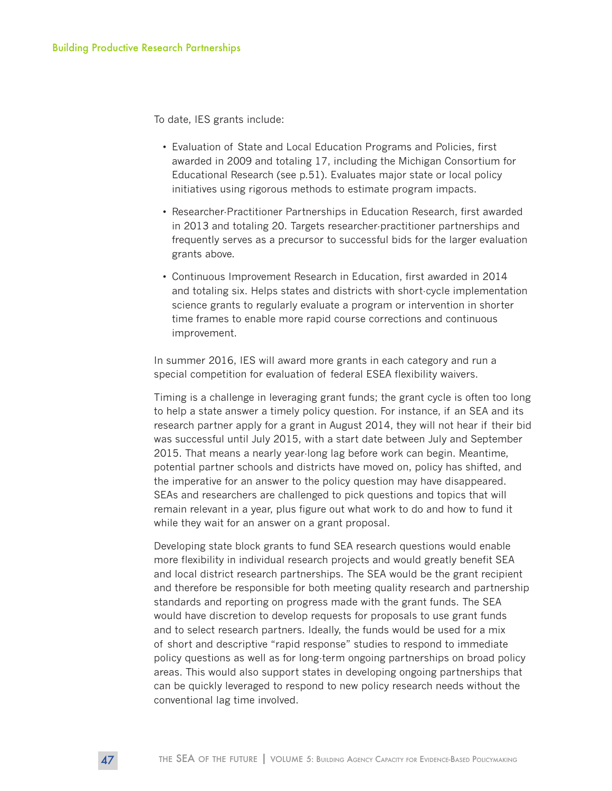To date, IES grants include:

- Evaluation of State and Local Education Programs and Policies, first awarded in 2009 and totaling 17, including the Michigan Consortium for Educational Research (see p.51). Evaluates major state or local policy initiatives using rigorous methods to estimate program impacts.
- Researcher-Practitioner Partnerships in Education Research, first awarded in 2013 and totaling 20. Targets researcher-practitioner partnerships and frequently serves as a precursor to successful bids for the larger evaluation grants above.
- Continuous Improvement Research in Education, first awarded in 2014 and totaling six. Helps states and districts with short-cycle implementation science grants to regularly evaluate a program or intervention in shorter time frames to enable more rapid course corrections and continuous improvement.

In summer 2016, IES will award more grants in each category and run a special competition for evaluation of federal ESEA flexibility waivers.

Timing is a challenge in leveraging grant funds; the grant cycle is often too long to help a state answer a timely policy question. For instance, if an SEA and its research partner apply for a grant in August 2014, they will not hear if their bid was successful until July 2015, with a start date between July and September 2015. That means a nearly year-long lag before work can begin. Meantime, potential partner schools and districts have moved on, policy has shifted, and the imperative for an answer to the policy question may have disappeared. SEAs and researchers are challenged to pick questions and topics that will remain relevant in a year, plus figure out what work to do and how to fund it while they wait for an answer on a grant proposal.

Developing state block grants to fund SEA research questions would enable more flexibility in individual research projects and would greatly benefit SEA and local district research partnerships. The SEA would be the grant recipient and therefore be responsible for both meeting quality research and partnership standards and reporting on progress made with the grant funds. The SEA would have discretion to develop requests for proposals to use grant funds and to select research partners. Ideally, the funds would be used for a mix of short and descriptive "rapid response" studies to respond to immediate policy questions as well as for long-term ongoing partnerships on broad policy areas. This would also support states in developing ongoing partnerships that can be quickly leveraged to respond to new policy research needs without the conventional lag time involved.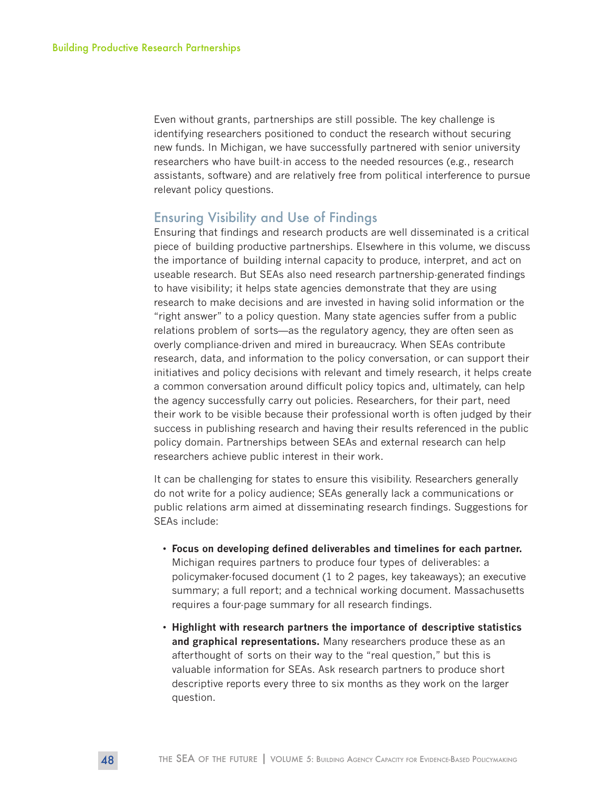Even without grants, partnerships are still possible. The key challenge is identifying researchers positioned to conduct the research without securing new funds. In Michigan, we have successfully partnered with senior university researchers who have built-in access to the needed resources (e.g., research assistants, software) and are relatively free from political interference to pursue relevant policy questions.

#### Ensuring Visibility and Use of Findings

Ensuring that findings and research products are well disseminated is a critical piece of building productive partnerships. Elsewhere in this volume, we discuss the importance of building internal capacity to produce, interpret, and act on useable research. But SEAs also need research partnership-generated findings to have visibility; it helps state agencies demonstrate that they are using research to make decisions and are invested in having solid information or the "right answer" to a policy question. Many state agencies suffer from a public relations problem of sorts—as the regulatory agency, they are often seen as overly compliance-driven and mired in bureaucracy. When SEAs contribute research, data, and information to the policy conversation, or can support their initiatives and policy decisions with relevant and timely research, it helps create a common conversation around difficult policy topics and, ultimately, can help the agency successfully carry out policies. Researchers, for their part, need their work to be visible because their professional worth is often judged by their success in publishing research and having their results referenced in the public policy domain. Partnerships between SEAs and external research can help researchers achieve public interest in their work.

It can be challenging for states to ensure this visibility. Researchers generally do not write for a policy audience; SEAs generally lack a communications or public relations arm aimed at disseminating research findings. Suggestions for SEAs include:

- **Focus on developing defined deliverables and timelines for each partner.**  Michigan requires partners to produce four types of deliverables: a policymaker-focused document (1 to 2 pages, key takeaways); an executive summary; a full report; and a technical working document. Massachusetts requires a four-page summary for all research findings.
- **Highlight with research partners the importance of descriptive statistics and graphical representations.** Many researchers produce these as an afterthought of sorts on their way to the "real question," but this is valuable information for SEAs. Ask research partners to produce short descriptive reports every three to six months as they work on the larger question.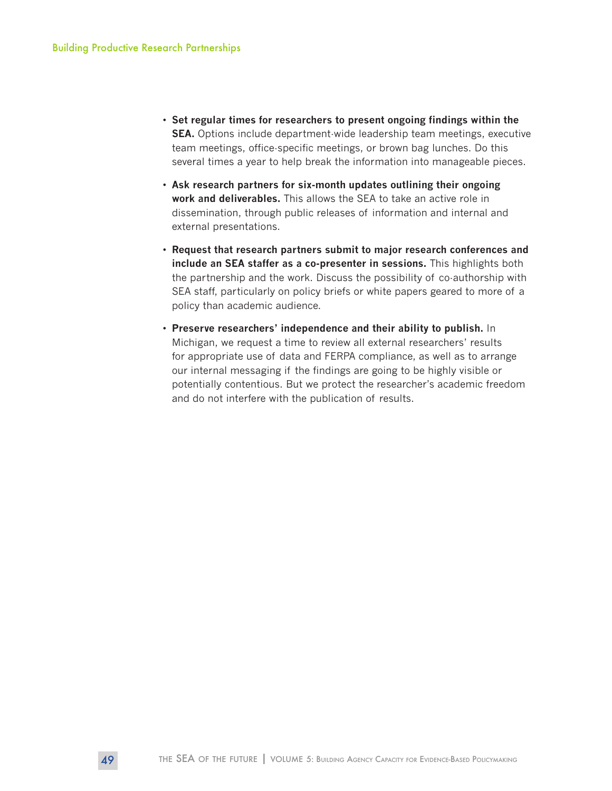- **Set regular times for researchers to present ongoing findings within the SEA.** Options include department-wide leadership team meetings, executive team meetings, office-specific meetings, or brown bag lunches. Do this several times a year to help break the information into manageable pieces.
- **Ask research partners for six-month updates outlining their ongoing work and deliverables.** This allows the SEA to take an active role in dissemination, through public releases of information and internal and external presentations.
- **Request that research partners submit to major research conferences and include an SEA staffer as a co-presenter in sessions.** This highlights both the partnership and the work. Discuss the possibility of co-authorship with SEA staff, particularly on policy briefs or white papers geared to more of a policy than academic audience.
- **Preserve researchers' independence and their ability to publish.** In Michigan, we request a time to review all external researchers' results for appropriate use of data and FERPA compliance, as well as to arrange our internal messaging if the findings are going to be highly visible or potentially contentious. But we protect the researcher's academic freedom and do not interfere with the publication of results.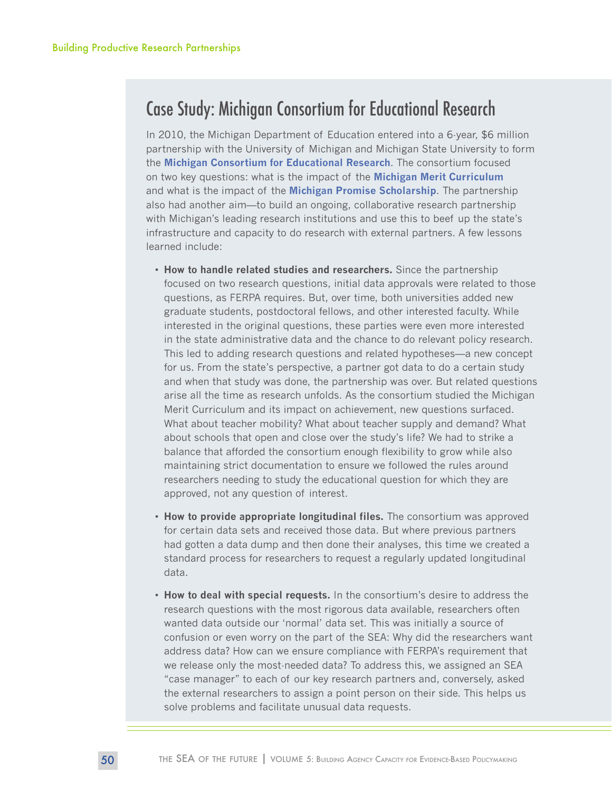## Case Study: Michigan Consortium for Educational Research

In 2010, the Michigan Department of Education entered into a 6-year, \$6 million partnership with the University of Michigan and Michigan State University to form the **[Michigan Consortium for Educational Research](http://michiganconsortium.org/)**. The consortium focused on two key questions: what is the impact of the **[Michigan Merit Curriculum](http://www.michigan.gov/mde/0,4615,7-140-28753_38924---,00.html)** and what is the impact of the **[Michigan Promise Scholarship](http://www.promisezones.org/)**. The partnership also had another aim—to build an ongoing, collaborative research partnership with Michigan's leading research institutions and use this to beef up the state's infrastructure and capacity to do research with external partners. A few lessons learned include:

- **How to handle related studies and researchers.** Since the partnership focused on two research questions, initial data approvals were related to those questions, as FERPA requires. But, over time, both universities added new graduate students, postdoctoral fellows, and other interested faculty. While interested in the original questions, these parties were even more interested in the state administrative data and the chance to do relevant policy research. This led to adding research questions and related hypotheses—a new concept for us. From the state's perspective, a partner got data to do a certain study and when that study was done, the partnership was over. But related questions arise all the time as research unfolds. As the consortium studied the Michigan Merit Curriculum and its impact on achievement, new questions surfaced. What about teacher mobility? What about teacher supply and demand? What about schools that open and close over the study's life? We had to strike a balance that afforded the consortium enough flexibility to grow while also maintaining strict documentation to ensure we followed the rules around researchers needing to study the educational question for which they are approved, not any question of interest.
- **How to provide appropriate longitudinal files.** The consortium was approved for certain data sets and received those data. But where previous partners had gotten a data dump and then done their analyses, this time we created a standard process for researchers to request a regularly updated longitudinal data.
- **How to deal with special requests.** In the consortium's desire to address the research questions with the most rigorous data available, researchers often wanted data outside our 'normal' data set. This was initially a source of confusion or even worry on the part of the SEA: Why did the researchers want address data? How can we ensure compliance with FERPA's requirement that we release only the most-needed data? To address this, we assigned an SEA "case manager" to each of our key research partners and, conversely, asked the external researchers to assign a point person on their side. This helps us solve problems and facilitate unusual data requests.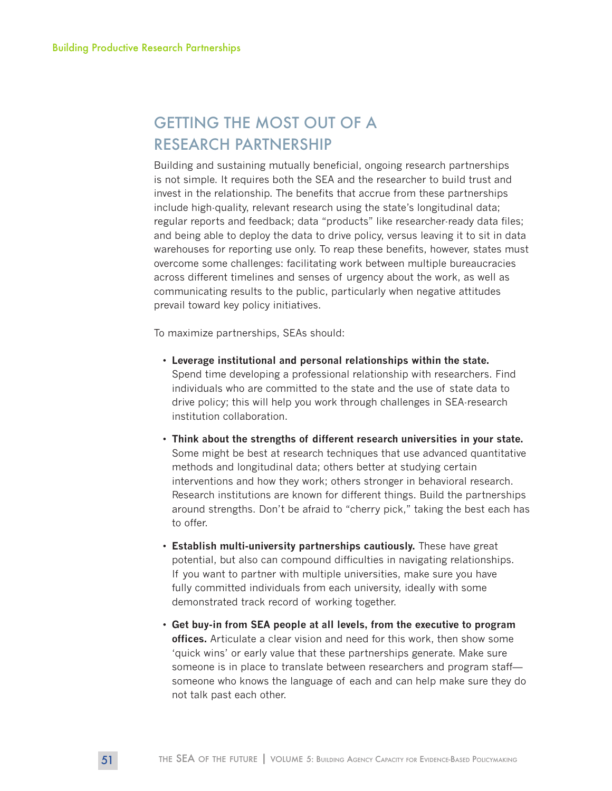## GETTING THE MOST OUT OF A RESEARCH PARTNERSHIP

Building and sustaining mutually beneficial, ongoing research partnerships is not simple. It requires both the SEA and the researcher to build trust and invest in the relationship. The benefits that accrue from these partnerships include high-quality, relevant research using the state's longitudinal data; regular reports and feedback; data "products" like researcher-ready data files; and being able to deploy the data to drive policy, versus leaving it to sit in data warehouses for reporting use only. To reap these benefits, however, states must overcome some challenges: facilitating work between multiple bureaucracies across different timelines and senses of urgency about the work, as well as communicating results to the public, particularly when negative attitudes prevail toward key policy initiatives.

To maximize partnerships, SEAs should:

- **Leverage institutional and personal relationships within the state.** Spend time developing a professional relationship with researchers. Find individuals who are committed to the state and the use of state data to drive policy; this will help you work through challenges in SEA-research institution collaboration.
- **Think about the strengths of different research universities in your state.**  Some might be best at research techniques that use advanced quantitative methods and longitudinal data; others better at studying certain interventions and how they work; others stronger in behavioral research. Research institutions are known for different things. Build the partnerships around strengths. Don't be afraid to "cherry pick," taking the best each has to offer.
- **Establish multi-university partnerships cautiously.** These have great potential, but also can compound difficulties in navigating relationships. If you want to partner with multiple universities, make sure you have fully committed individuals from each university, ideally with some demonstrated track record of working together.
- **Get buy-in from SEA people at all levels, from the executive to program offices.** Articulate a clear vision and need for this work, then show some 'quick wins' or early value that these partnerships generate. Make sure someone is in place to translate between researchers and program staff someone who knows the language of each and can help make sure they do not talk past each other.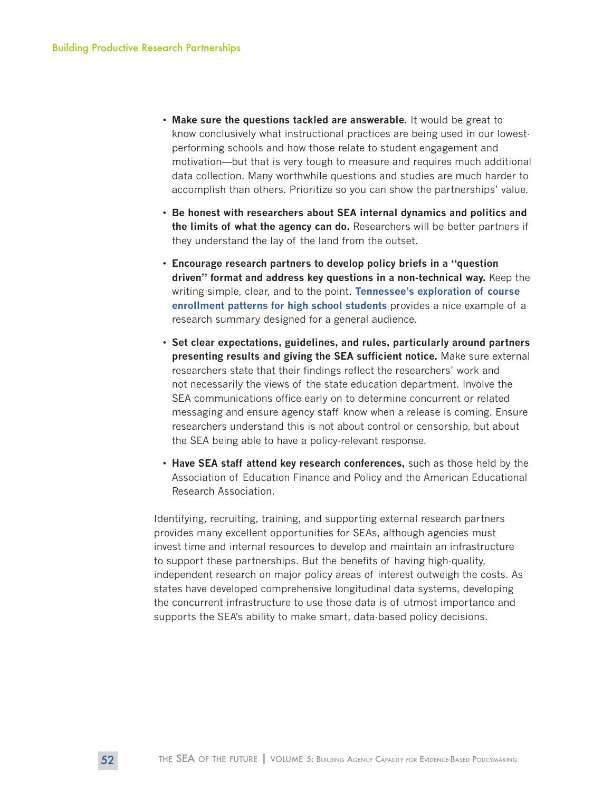- **Make sure the questions tackled are answerable.** It would be great to know conclusively what instructional practices are being used in our lowestperforming schools and how those relate to student engagement and motivation—but that is very tough to measure and requires much additional data collection. Many worthwhile questions and studies are much harder to accomplish than others. Prioritize so you can show the partnerships' value.
- **Be honest with researchers about SEA internal dynamics and politics and the limits of what the agency can do.** Researchers will be better partners if they understand the lay of the land from the outset.
- **Encourage research partners to develop policy briefs in a "question driven" format and address key questions in a non-technical way.** Keep the writing simple, clear, and to the point. **[Tennessee's exploration of course](https://www.tn.gov/assets/entities/education/attachments/rpt_Course_Placement_high_school_math.pdf)  [enrollment patterns for high school students](https://www.tn.gov/assets/entities/education/attachments/rpt_Course_Placement_high_school_math.pdf)** provides a nice example of a research summary designed for a general audience.
- **Set clear expectations, guidelines, and rules, particularly around partners presenting results and giving the SEA sufficient notice.** Make sure external researchers state that their findings reflect the researchers' work and not necessarily the views of the state education department. Involve the SEA communications office early on to determine concurrent or related messaging and ensure agency staff know when a release is coming. Ensure researchers understand this is not about control or censorship, but about the SEA being able to have a policy-relevant response.
- **Have SEA staff attend key research conferences,** such as those held by the Association of Education Finance and Policy and the American Educational Research Association.

Identifying, recruiting, training, and supporting external research partners provides many excellent opportunities for SEAs, although agencies must invest time and internal resources to develop and maintain an infrastructure to support these partnerships. But the benefits of having high-quality, independent research on major policy areas of interest outweigh the costs. As states have developed comprehensive longitudinal data systems, developing the concurrent infrastructure to use those data is of utmost importance and supports the SEA's ability to make smart, data-based policy decisions.

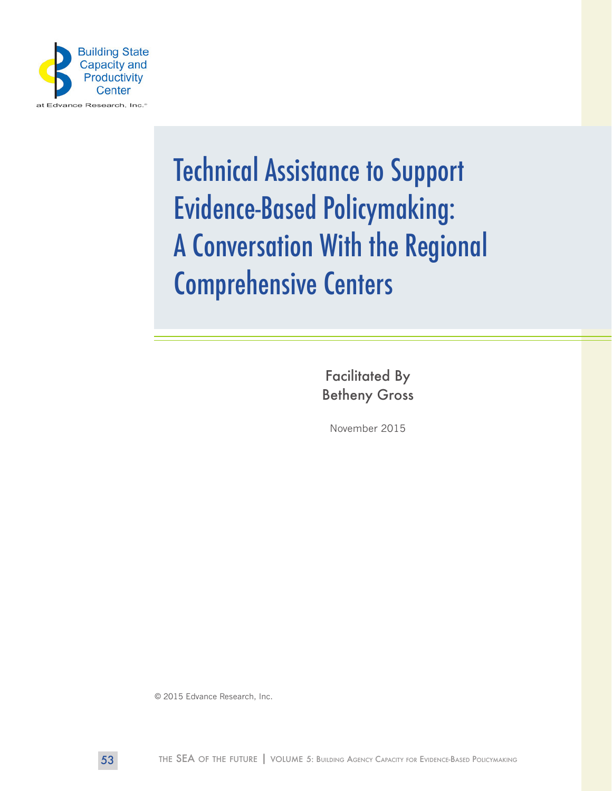

# Technical Assistance to Support Evidence-Based Policymaking: A Conversation With the Regional Comprehensive Centers

Facilitated By Betheny Gross

November 2015

© 2015 Edvance Research, Inc.

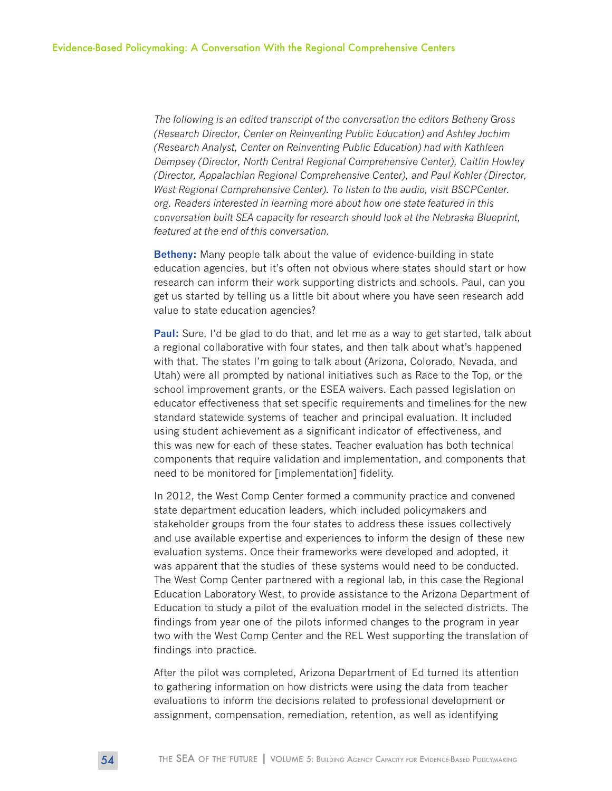*The following is an edited transcript of the conversation the editors Betheny Gross (Research Director, Center on Reinventing Public Education) and Ashley Jochim (Research Analyst, Center on Reinventing Public Education) had with Kathleen Dempsey (Director, North Central Regional Comprehensive Center), Caitlin Howley (Director, Appalachian Regional Comprehensive Center), and Paul Kohler (Director, West Regional Comprehensive Center). To listen to the audio, visit BSCPCenter. org. Readers interested in learning more about how one state featured in this conversation built SEA capacity for research should look at the Nebraska Blueprint, featured at the end of this conversation.* 

**Betheny:** Many people talk about the value of evidence-building in state education agencies, but it's often not obvious where states should start or how research can inform their work supporting districts and schools. Paul, can you get us started by telling us a little bit about where you have seen research add value to state education agencies?

**Paul:** Sure, I'd be glad to do that, and let me as a way to get started, talk about a regional collaborative with four states, and then talk about what's happened with that. The states I'm going to talk about (Arizona, Colorado, Nevada, and Utah) were all prompted by national initiatives such as Race to the Top, or the school improvement grants, or the ESEA waivers. Each passed legislation on educator effectiveness that set specific requirements and timelines for the new standard statewide systems of teacher and principal evaluation. It included using student achievement as a significant indicator of effectiveness, and this was new for each of these states. Teacher evaluation has both technical components that require validation and implementation, and components that need to be monitored for [implementation] fidelity.

In 2012, the West Comp Center formed a community practice and convened state department education leaders, which included policymakers and stakeholder groups from the four states to address these issues collectively and use available expertise and experiences to inform the design of these new evaluation systems. Once their frameworks were developed and adopted, it was apparent that the studies of these systems would need to be conducted. The West Comp Center partnered with a regional lab, in this case the Regional Education Laboratory West, to provide assistance to the Arizona Department of Education to study a pilot of the evaluation model in the selected districts. The findings from year one of the pilots informed changes to the program in year two with the West Comp Center and the REL West supporting the translation of findings into practice.

After the pilot was completed, Arizona Department of Ed turned its attention to gathering information on how districts were using the data from teacher evaluations to inform the decisions related to professional development or assignment, compensation, remediation, retention, as well as identifying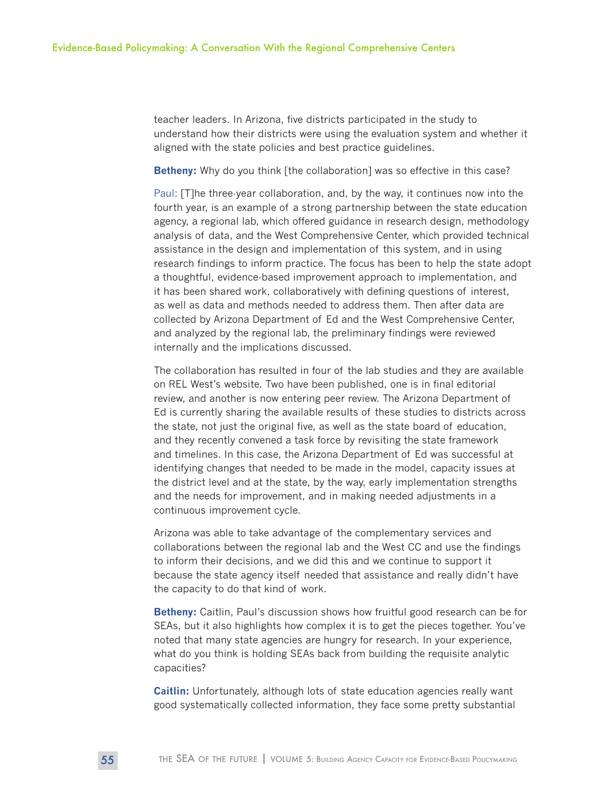teacher leaders. In Arizona, five districts participated in the study to understand how their districts were using the evaluation system and whether it aligned with the state policies and best practice guidelines.

**Betheny:** Why do you think [the collaboration] was so effective in this case?

Paul: [T]he three-year collaboration, and, by the way, it continues now into the fourth year, is an example of a strong partnership between the state education agency, a regional lab, which offered guidance in research design, methodology analysis of data, and the West Comprehensive Center, which provided technical assistance in the design and implementation of this system, and in using research findings to inform practice. The focus has been to help the state adopt a thoughtful, evidence-based improvement approach to implementation, and it has been shared work, collaboratively with defining questions of interest, as well as data and methods needed to address them. Then after data are collected by Arizona Department of Ed and the West Comprehensive Center, and analyzed by the regional lab, the preliminary findings were reviewed internally and the implications discussed.

The collaboration has resulted in four of the lab studies and they are available on REL West's website. Two have been published, one is in final editorial review, and another is now entering peer review. The Arizona Department of Ed is currently sharing the available results of these studies to districts across the state, not just the original five, as well as the state board of education, and they recently convened a task force by revisiting the state framework and timelines. In this case, the Arizona Department of Ed was successful at identifying changes that needed to be made in the model, capacity issues at the district level and at the state, by the way, early implementation strengths and the needs for improvement, and in making needed adjustments in a continuous improvement cycle.

Arizona was able to take advantage of the complementary services and collaborations between the regional lab and the West CC and use the findings to inform their decisions, and we did this and we continue to support it because the state agency itself needed that assistance and really didn't have the capacity to do that kind of work.

**Betheny:** Caitlin, Paul's discussion shows how fruitful good research can be for SEAs, but it also highlights how complex it is to get the pieces together. You've noted that many state agencies are hungry for research. In your experience, what do you think is holding SEAs back from building the requisite analytic capacities?

**Caitlin:** Unfortunately, although lots of state education agencies really want good systematically collected information, they face some pretty substantial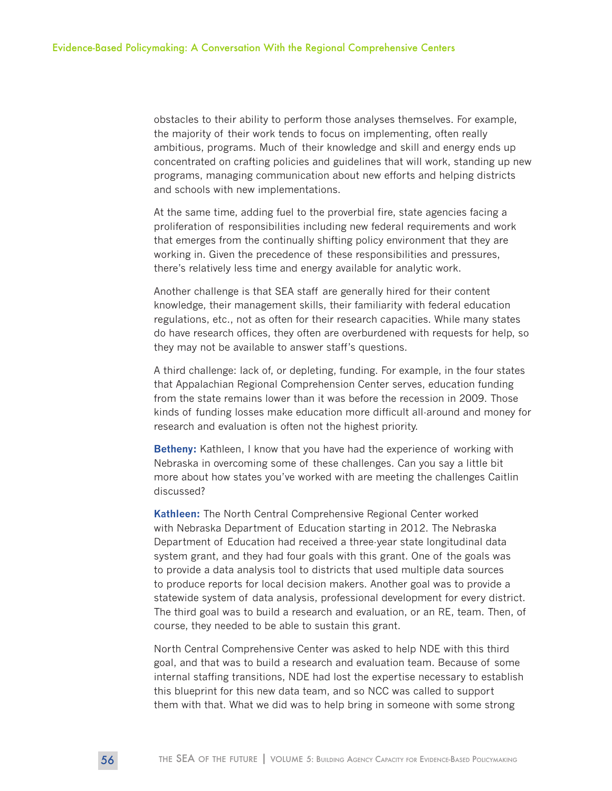obstacles to their ability to perform those analyses themselves. For example, the majority of their work tends to focus on implementing, often really ambitious, programs. Much of their knowledge and skill and energy ends up concentrated on crafting policies and guidelines that will work, standing up new programs, managing communication about new efforts and helping districts and schools with new implementations.

At the same time, adding fuel to the proverbial fire, state agencies facing a proliferation of responsibilities including new federal requirements and work that emerges from the continually shifting policy environment that they are working in. Given the precedence of these responsibilities and pressures, there's relatively less time and energy available for analytic work.

Another challenge is that SEA staff are generally hired for their content knowledge, their management skills, their familiarity with federal education regulations, etc., not as often for their research capacities. While many states do have research offices, they often are overburdened with requests for help, so they may not be available to answer staff's questions.

A third challenge: lack of, or depleting, funding. For example, in the four states that Appalachian Regional Comprehension Center serves, education funding from the state remains lower than it was before the recession in 2009. Those kinds of funding losses make education more difficult all-around and money for research and evaluation is often not the highest priority.

**Betheny:** Kathleen, I know that you have had the experience of working with Nebraska in overcoming some of these challenges. Can you say a little bit more about how states you've worked with are meeting the challenges Caitlin discussed?

**Kathleen:** The North Central Comprehensive Regional Center worked with Nebraska Department of Education starting in 2012. The Nebraska Department of Education had received a three-year state longitudinal data system grant, and they had four goals with this grant. One of the goals was to provide a data analysis tool to districts that used multiple data sources to produce reports for local decision makers. Another goal was to provide a statewide system of data analysis, professional development for every district. The third goal was to build a research and evaluation, or an RE, team. Then, of course, they needed to be able to sustain this grant.

North Central Comprehensive Center was asked to help NDE with this third goal, and that was to build a research and evaluation team. Because of some internal staffing transitions, NDE had lost the expertise necessary to establish this blueprint for this new data team, and so NCC was called to support them with that. What we did was to help bring in someone with some strong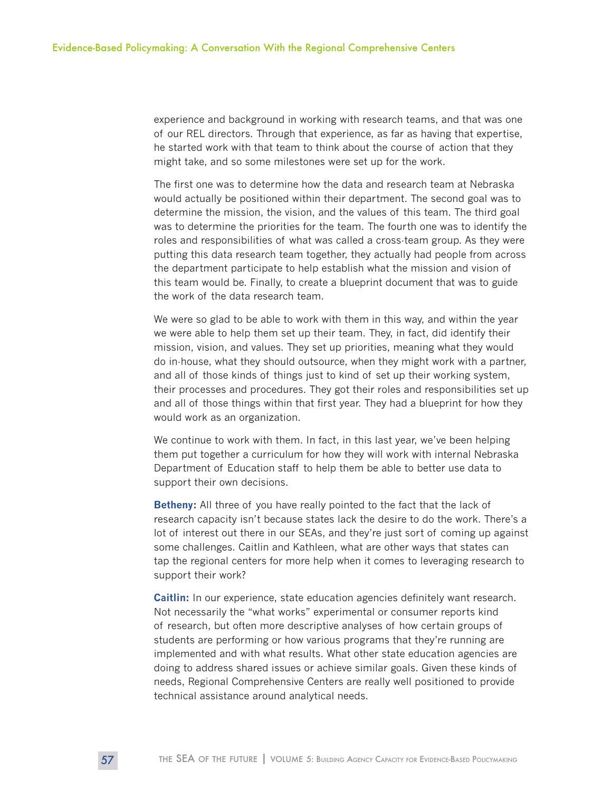experience and background in working with research teams, and that was one of our REL directors. Through that experience, as far as having that expertise, he started work with that team to think about the course of action that they might take, and so some milestones were set up for the work.

The first one was to determine how the data and research team at Nebraska would actually be positioned within their department. The second goal was to determine the mission, the vision, and the values of this team. The third goal was to determine the priorities for the team. The fourth one was to identify the roles and responsibilities of what was called a cross-team group. As they were putting this data research team together, they actually had people from across the department participate to help establish what the mission and vision of this team would be. Finally, to create a blueprint document that was to guide the work of the data research team.

We were so glad to be able to work with them in this way, and within the year we were able to help them set up their team. They, in fact, did identify their mission, vision, and values. They set up priorities, meaning what they would do in-house, what they should outsource, when they might work with a partner, and all of those kinds of things just to kind of set up their working system, their processes and procedures. They got their roles and responsibilities set up and all of those things within that first year. They had a blueprint for how they would work as an organization.

We continue to work with them. In fact, in this last year, we've been helping them put together a curriculum for how they will work with internal Nebraska Department of Education staff to help them be able to better use data to support their own decisions.

**Betheny:** All three of you have really pointed to the fact that the lack of research capacity isn't because states lack the desire to do the work. There's a lot of interest out there in our SEAs, and they're just sort of coming up against some challenges. Caitlin and Kathleen, what are other ways that states can tap the regional centers for more help when it comes to leveraging research to support their work?

**Caitlin:** In our experience, state education agencies definitely want research. Not necessarily the "what works" experimental or consumer reports kind of research, but often more descriptive analyses of how certain groups of students are performing or how various programs that they're running are implemented and with what results. What other state education agencies are doing to address shared issues or achieve similar goals. Given these kinds of needs, Regional Comprehensive Centers are really well positioned to provide technical assistance around analytical needs.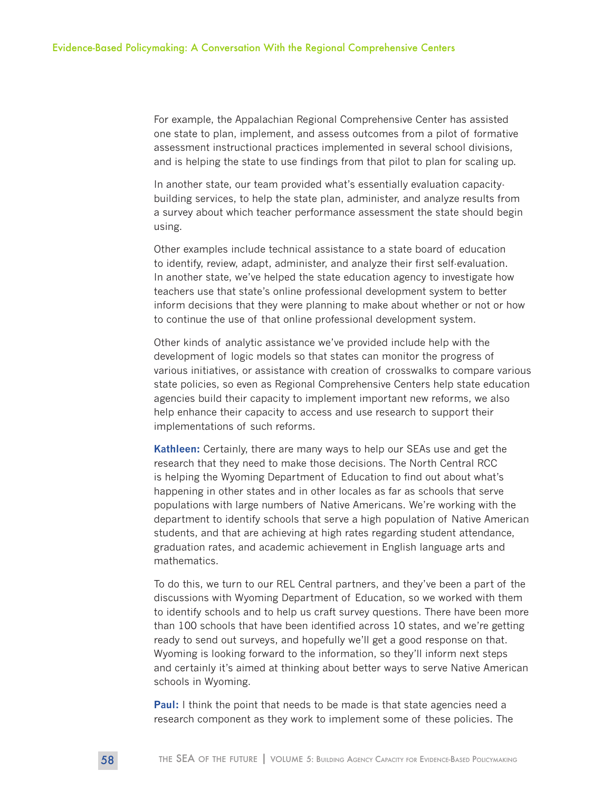For example, the Appalachian Regional Comprehensive Center has assisted one state to plan, implement, and assess outcomes from a pilot of formative assessment instructional practices implemented in several school divisions, and is helping the state to use findings from that pilot to plan for scaling up.

In another state, our team provided what's essentially evaluation capacitybuilding services, to help the state plan, administer, and analyze results from a survey about which teacher performance assessment the state should begin using.

Other examples include technical assistance to a state board of education to identify, review, adapt, administer, and analyze their first self-evaluation. In another state, we've helped the state education agency to investigate how teachers use that state's online professional development system to better inform decisions that they were planning to make about whether or not or how to continue the use of that online professional development system.

Other kinds of analytic assistance we've provided include help with the development of logic models so that states can monitor the progress of various initiatives, or assistance with creation of crosswalks to compare various state policies, so even as Regional Comprehensive Centers help state education agencies build their capacity to implement important new reforms, we also help enhance their capacity to access and use research to support their implementations of such reforms.

**Kathleen:** Certainly, there are many ways to help our SEAs use and get the research that they need to make those decisions. The North Central RCC is helping the Wyoming Department of Education to find out about what's happening in other states and in other locales as far as schools that serve populations with large numbers of Native Americans. We're working with the department to identify schools that serve a high population of Native American students, and that are achieving at high rates regarding student attendance, graduation rates, and academic achievement in English language arts and mathematics.

To do this, we turn to our REL Central partners, and they've been a part of the discussions with Wyoming Department of Education, so we worked with them to identify schools and to help us craft survey questions. There have been more than 100 schools that have been identified across 10 states, and we're getting ready to send out surveys, and hopefully we'll get a good response on that. Wyoming is looking forward to the information, so they'll inform next steps and certainly it's aimed at thinking about better ways to serve Native American schools in Wyoming.

**Paul:** I think the point that needs to be made is that state agencies need a research component as they work to implement some of these policies. The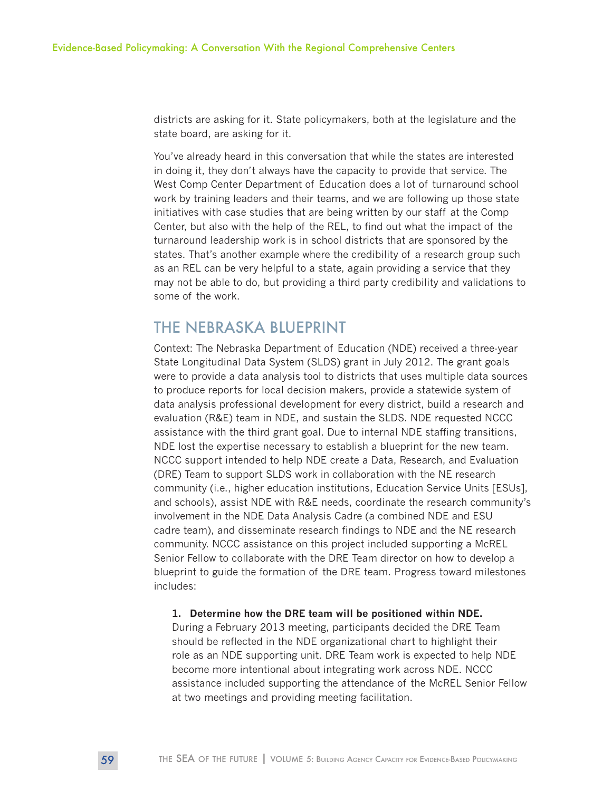districts are asking for it. State policymakers, both at the legislature and the state board, are asking for it.

You've already heard in this conversation that while the states are interested in doing it, they don't always have the capacity to provide that service. The West Comp Center Department of Education does a lot of turnaround school work by training leaders and their teams, and we are following up those state initiatives with case studies that are being written by our staff at the Comp Center, but also with the help of the REL, to find out what the impact of the turnaround leadership work is in school districts that are sponsored by the states. That's another example where the credibility of a research group such as an REL can be very helpful to a state, again providing a service that they may not be able to do, but providing a third party credibility and validations to some of the work.

## THE NEBRASKA BLUEPRINT

Context: The Nebraska Department of Education (NDE) received a three-year State Longitudinal Data System (SLDS) grant in July 2012. The grant goals were to provide a data analysis tool to districts that uses multiple data sources to produce reports for local decision makers, provide a statewide system of data analysis professional development for every district, build a research and evaluation (R&E) team in NDE, and sustain the SLDS. NDE requested NCCC assistance with the third grant goal. Due to internal NDE staffing transitions, NDE lost the expertise necessary to establish a blueprint for the new team. NCCC support intended to help NDE create a Data, Research, and Evaluation (DRE) Team to support SLDS work in collaboration with the NE research community (i.e., higher education institutions, Education Service Units [ESUs], and schools), assist NDE with R&E needs, coordinate the research community's involvement in the NDE Data Analysis Cadre (a combined NDE and ESU cadre team), and disseminate research findings to NDE and the NE research community. NCCC assistance on this project included supporting a McREL Senior Fellow to collaborate with the DRE Team director on how to develop a blueprint to guide the formation of the DRE team. Progress toward milestones includes:

#### **1. Determine how the DRE team will be positioned within NDE.**

During a February 2013 meeting, participants decided the DRE Team should be reflected in the NDE organizational chart to highlight their role as an NDE supporting unit. DRE Team work is expected to help NDE become more intentional about integrating work across NDE. NCCC assistance included supporting the attendance of the McREL Senior Fellow at two meetings and providing meeting facilitation.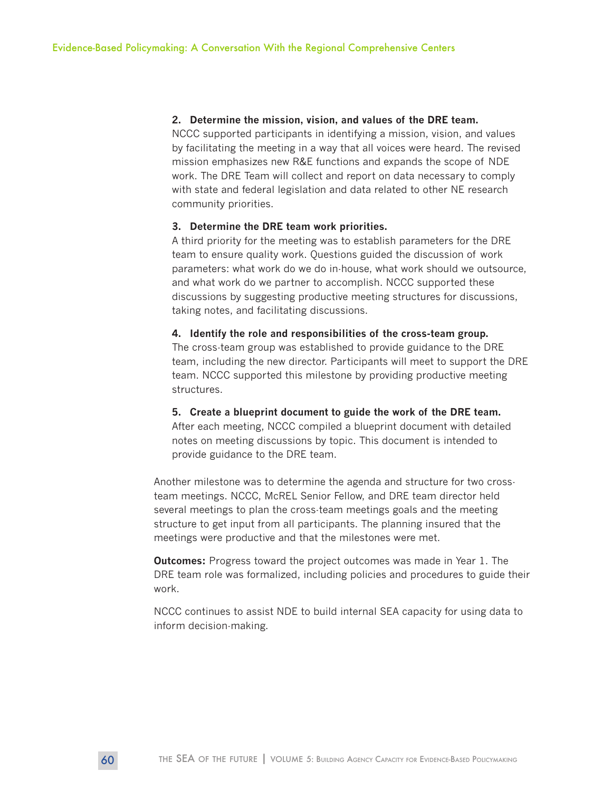#### **2. Determine the mission, vision, and values of the DRE team.**

NCCC supported participants in identifying a mission, vision, and values by facilitating the meeting in a way that all voices were heard. The revised mission emphasizes new R&E functions and expands the scope of NDE work. The DRE Team will collect and report on data necessary to comply with state and federal legislation and data related to other NE research community priorities.

#### **3. Determine the DRE team work priorities.**

A third priority for the meeting was to establish parameters for the DRE team to ensure quality work. Questions guided the discussion of work parameters: what work do we do in-house, what work should we outsource, and what work do we partner to accomplish. NCCC supported these discussions by suggesting productive meeting structures for discussions, taking notes, and facilitating discussions.

#### **4. Identify the role and responsibilities of the cross-team group.**

The cross-team group was established to provide guidance to the DRE team, including the new director. Participants will meet to support the DRE team. NCCC supported this milestone by providing productive meeting structures.

#### **5. Create a blueprint document to guide the work of the DRE team.**

After each meeting, NCCC compiled a blueprint document with detailed notes on meeting discussions by topic. This document is intended to provide guidance to the DRE team.

Another milestone was to determine the agenda and structure for two crossteam meetings. NCCC, McREL Senior Fellow, and DRE team director held several meetings to plan the cross-team meetings goals and the meeting structure to get input from all participants. The planning insured that the meetings were productive and that the milestones were met.

**Outcomes:** Progress toward the project outcomes was made in Year 1. The DRE team role was formalized, including policies and procedures to guide their work.

NCCC continues to assist NDE to build internal SEA capacity for using data to inform decision-making.

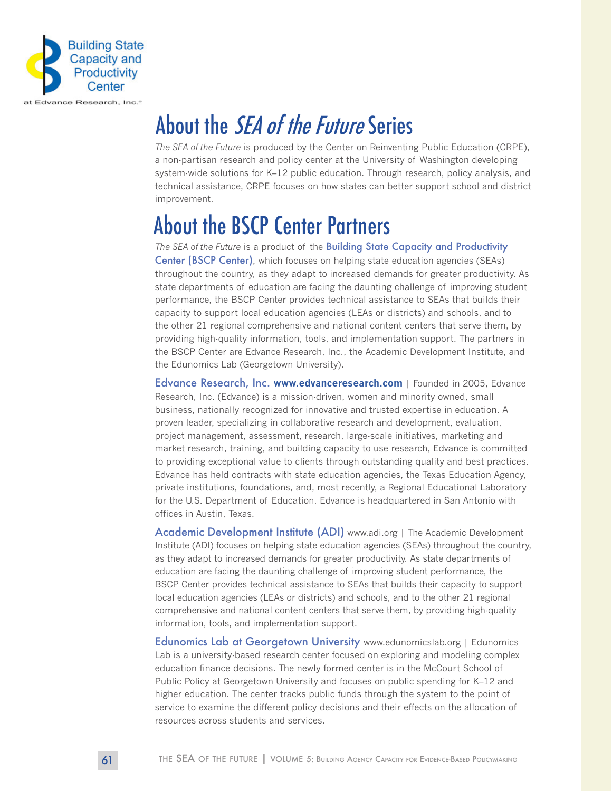

## About the *SEA of the Future* Series

*The SEA of the Future* is produced by the Center on Reinventing Public Education (CRPE), a non-partisan research and policy center at the University of Washington developing system-wide solutions for K–12 public education. Through research, policy analysis, and technical assistance, CRPE focuses on how states can better support school and district improvement.

## About the BSCP Center Partners

*The SEA of the Future* is a product of the Building State Capacity and Productivity Center (BSCP Center), which focuses on helping state education agencies (SEAs) throughout the country, as they adapt to increased demands for greater productivity. As state departments of education are facing the daunting challenge of improving student performance, the BSCP Center provides technical assistance to SEAs that builds their capacity to support local education agencies (LEAs or districts) and schools, and to the other 21 regional comprehensive and national content centers that serve them, by providing high-quality information, tools, and implementation support. The partners in the BSCP Center are Edvance Research, Inc., the Academic Development Institute, and the Edunomics Lab (Georgetown University).

Edvance Research, Inc. **<www.edvanceresearch.com>** | Founded in 2005, Edvance Research, Inc. (Edvance) is a mission-driven, women and minority owned, small business, nationally recognized for innovative and trusted expertise in education. A proven leader, specializing in collaborative research and development, evaluation, project management, assessment, research, large-scale initiatives, marketing and market research, training, and building capacity to use research, Edvance is committed to providing exceptional value to clients through outstanding quality and best practices. Edvance has held contracts with state education agencies, the Texas Education Agency, private institutions, foundations, and, most recently, a Regional Educational Laboratory for the U.S. Department of Education. Edvance is headquartered in San Antonio with offices in Austin, Texas.

Academic Development Institute (ADI) www.adi.org | The Academic Development Institute (ADI) focuses on helping state education agencies (SEAs) throughout the country, as they adapt to increased demands for greater productivity. As state departments of education are facing the daunting challenge of improving student performance, the BSCP Center provides technical assistance to SEAs that builds their capacity to support local education agencies (LEAs or districts) and schools, and to the other 21 regional comprehensive and national content centers that serve them, by providing high-quality information, tools, and implementation support.

Edunomics Lab at Georgetown University www.edunomicslab.org | Edunomics Lab is a university-based research center focused on exploring and modeling complex education finance decisions. The newly formed center is in the McCourt School of Public Policy at Georgetown University and focuses on public spending for K–12 and higher education. The center tracks public funds through the system to the point of service to examine the different policy decisions and their effects on the allocation of resources across students and services.